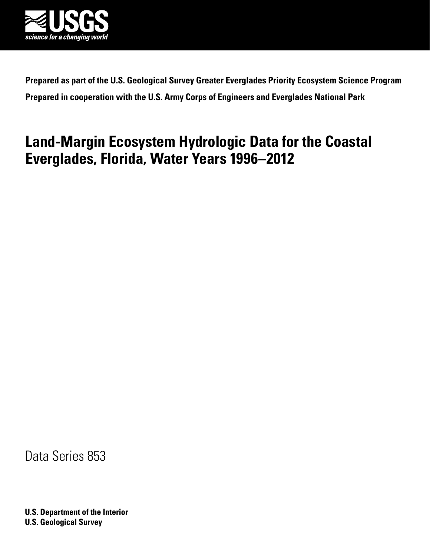

**Prepared as part of the U.S. Geological Survey Greater Everglades Priority Ecosystem Science Program Prepared in cooperation with the U.S. Army Corps of Engineers and Everglades National Park**

# **Land-Margin Ecosystem Hydrologic Data for the Coastal Everglades, Florida, Water Years 1996–2012**

Data Series 853

**U.S. Department of the Interior U.S. Geological Survey**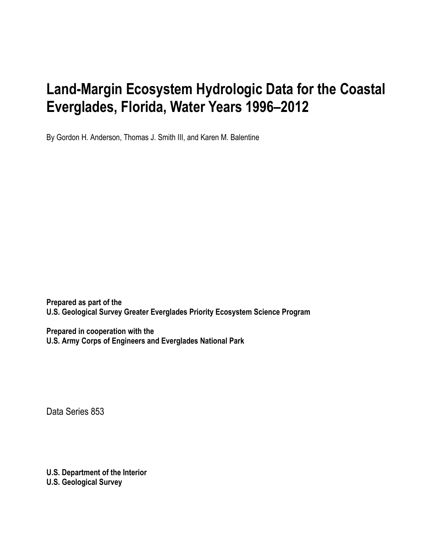# **Land-Margin Ecosystem Hydrologic Data for the Coastal Everglades, Florida, Water Years 1996–2012**

By Gordon H. Anderson, Thomas J. Smith III, and Karen M. Balentine

**Prepared as part of the U.S. Geological Survey Greater Everglades Priority Ecosystem Science Program**

**Prepared in cooperation with the U.S. Army Corps of Engineers and Everglades National Park** 

Data Series 853

**U.S. Department of the Interior U.S. Geological Survey**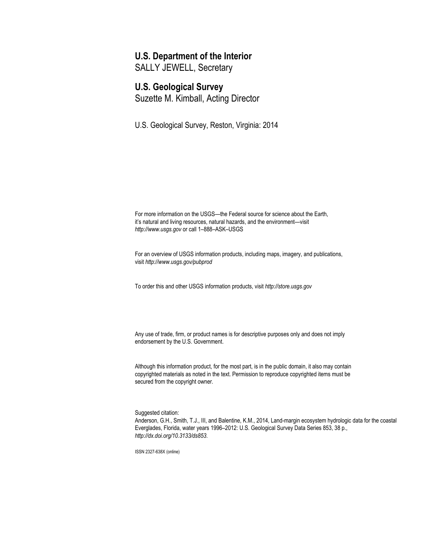## **U.S. Department of the Interior**

SALLY JEWELL, Secretary

## **U.S. Geological Survey**

Suzette M. Kimball, Acting Director

U.S. Geological Survey, Reston, Virginia: 2014

For more information on the USGS—the Federal source for science about the Earth, it's natural and living resources, natural hazards, and the environment—visit *[http://www.usgs.gov](http://www.usgs.gov/)* or call 1–888–ASK–USGS

For an overview of USGS information products, including maps, imagery, and publications, visit *<http://www.usgs.gov/pubprod>*

To order this and other USGS information products, visit *[http://store.usgs.gov](http://store.usgs.gov/)*

Any use of trade, firm, or product names is for descriptive purposes only and does not imply endorsement by the U.S. Government.

Although this information product, for the most part, is in the public domain, it also may contain copyrighted materials as noted in the text. Permission to reproduce copyrighted items must be secured from the copyright owner.

Suggested citation:

Anderson, G.H., Smith, T.J., III, and Balentine, K.M., 2014, Land-margin ecosystem hydrologic data for the coastal Everglades, Florida, water years 1996–2012: U.S. Geological Survey Data Series 853, 38 p., *<http://dx.doi.org/10.3133/ds853>*.

ISSN 2327-638X (online)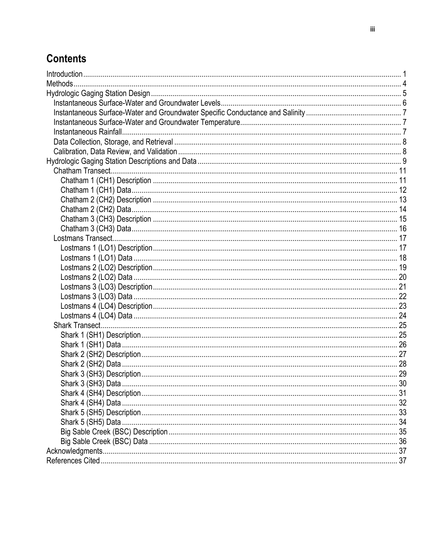# **Contents**

| . 30 |
|------|
|      |
|      |
|      |
|      |
|      |
|      |
|      |
|      |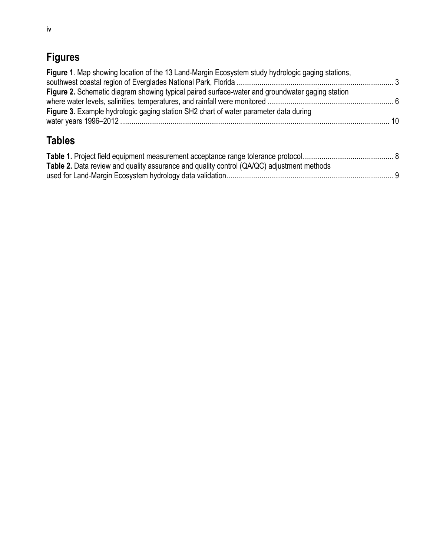# **Figures**

| Figure 1. Map showing location of the 13 Land-Margin Ecosystem study hydrologic gaging stations, |  |
|--------------------------------------------------------------------------------------------------|--|
| Figure 2. Schematic diagram showing typical paired surface-water and groundwater gaging station  |  |
| Figure 3. Example hydrologic gaging station SH2 chart of water parameter data during             |  |
| <b>Tables</b>                                                                                    |  |

| <b>Table 2.</b> Data review and quality assurance and quality control (QA/QC) adjustment methods |  |
|--------------------------------------------------------------------------------------------------|--|
|                                                                                                  |  |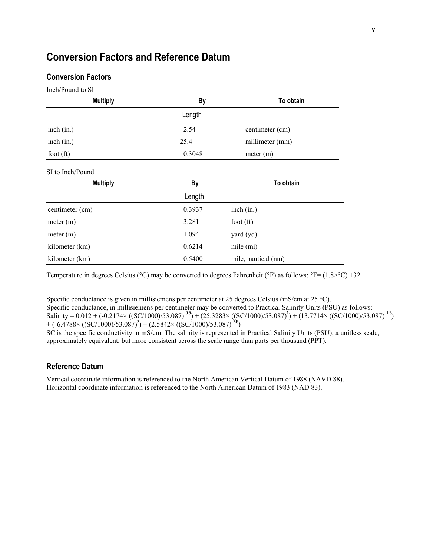## **Conversion Factors and Reference Datum**

#### **Conversion Factors**

| Inch/Pound to SI |        |                     |
|------------------|--------|---------------------|
| <b>Multiply</b>  | By     | To obtain           |
|                  | Length |                     |
| inch (in.)       | 2.54   | centimeter (cm)     |
| inch (in.)       | 25.4   | millimeter (mm)     |
| foot $(ft)$      | 0.3048 | meter (m)           |
| SI to Inch/Pound |        |                     |
| <b>Multiply</b>  | By     | To obtain           |
|                  | Length |                     |
| centimeter (cm)  | 0.3937 | inch (in.)          |
| meter (m)        | 3.281  | foot $(ft)$         |
| meter (m)        | 1.094  | yard (yd)           |
| kilometer (km)   | 0.6214 | mile (mi)           |
| kilometer (km)   | 0.5400 | mile, nautical (nm) |

Temperature in degrees Celsius ( $\degree$ C) may be converted to degrees Fahrenheit ( $\degree$ F) as follows:  $\degree$ F= (1.8× $\degree$ C) +32.

Specific conductance is given in millisiemens per centimeter at 25 degrees Celsius (mS/cm at 25 °C). Specific conductance, in millisiemens per centimeter may be converted to Practical Salinity Units (PSU) as follows: Salinity =  $0.012 + (-0.2174 \times ((\text{SC}/1000)/53.087)^{0.5}) + (25.3283 \times ((\text{SC}/1000)/53.087)^{1}) + (13.7714 \times ((\text{SC}/1000)/53.087)^{1.5})$  $+ (-6.4788 \times ((\text{SC}/1000)/53.087)^2) + (2.5842 \times ((\text{SC}/1000)/53.087)^{25})$ 

SC is the specific conductivity in mS/cm. The salinity is represented in Practical Salinity Units (PSU), a unitless scale, approximately equivalent, but more consistent across the scale range than parts per thousand (PPT).

#### **Reference Datum**

Vertical coordinate information is referenced to the North American Vertical Datum of 1988 (NAVD 88). Horizontal coordinate information is referenced to the North American Datum of 1983 (NAD 83).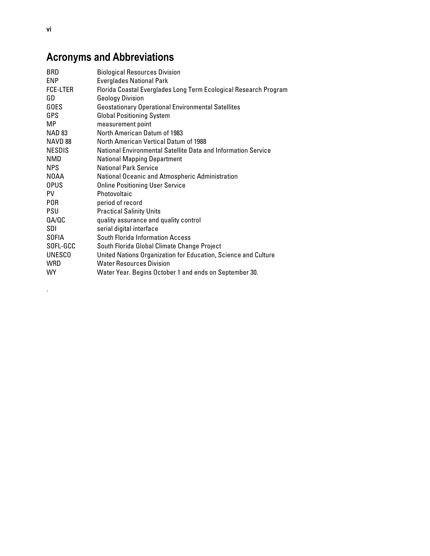# **Acronyms and Abbreviations**

| <b>BRD</b>    | <b>Biological Resources Division</b>                             |
|---------------|------------------------------------------------------------------|
| <b>ENP</b>    | <b>Everglades National Park</b>                                  |
| FCE-LTER      | Florida Coastal Everglades Long Term Ecological Research Program |
| GD            | <b>Geology Division</b>                                          |
| <b>GOES</b>   | <b>Geostationary Operational Environmental Satellites</b>        |
| GPS           | <b>Global Positioning System</b>                                 |
| MP            | measurement point                                                |
| NAD 83        | North American Datum of 1983                                     |
| NAVD 88       | North American Vertical Datum of 1988                            |
| <b>NESDIS</b> | National Environmental Satellite Data and Information Service    |
| <b>NMD</b>    | <b>National Mapping Department</b>                               |
| <b>NPS</b>    | <b>National Park Service</b>                                     |
| N0AA          | National Oceanic and Atmospheric Administration                  |
| <b>OPUS</b>   | <b>Online Positioning User Service</b>                           |
| PV.           | Photovoltaic                                                     |
| <b>POR</b>    | period of record                                                 |
| <b>PSU</b>    | <b>Practical Salinity Units</b>                                  |
| 0A/0C         | quality assurance and quality control                            |
| SDI           | serial digital interface                                         |
| <b>SOFIA</b>  | South Florida Information Access                                 |
| SOFL-GCC      | South Florida Global Climate Change Project                      |
| <b>UNESCO</b> | United Nations Organization for Education, Science and Culture   |
| <b>WRD</b>    | <b>Water Resources Division</b>                                  |
| WY            | Water Year. Begins October 1 and ends on September 30.           |

.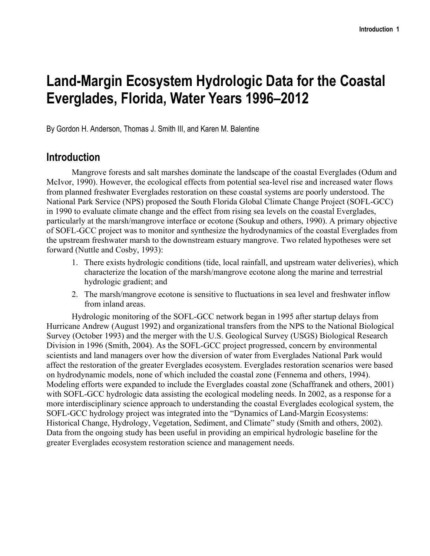# **Land-Margin Ecosystem Hydrologic Data for the Coastal Everglades, Florida, Water Years 1996–2012**

By Gordon H. Anderson, Thomas J. Smith III, and Karen M. Balentine

## **Introduction**

Mangrove forests and salt marshes dominate the landscape of the coastal Everglades (Odum and McIvor, 1990). However, the ecological effects from potential sea-level rise and increased water flows from planned freshwater Everglades restoration on these coastal systems are poorly understood. The National Park Service (NPS) proposed the South Florida Global Climate Change Project (SOFL-GCC) in 1990 to evaluate climate change and the effect from rising sea levels on the coastal Everglades, particularly at the marsh/mangrove interface or ecotone (Soukup and others, 1990). A primary objective of SOFL-GCC project was to monitor and synthesize the hydrodynamics of the coastal Everglades from the upstream freshwater marsh to the downstream estuary mangrove. Two related hypotheses were set forward (Nuttle and Cosby, 1993):

- 1. There exists hydrologic conditions (tide, local rainfall, and upstream water deliveries), which characterize the location of the marsh/mangrove ecotone along the marine and terrestrial hydrologic gradient; and
- 2. The marsh/mangrove ecotone is sensitive to fluctuations in sea level and freshwater inflow from inland areas.

Hydrologic monitoring of the SOFL-GCC network began in 1995 after startup delays from Hurricane Andrew (August 1992) and organizational transfers from the NPS to the National Biological Survey (October 1993) and the merger with the U.S. Geological Survey (USGS) Biological Research Division in 1996 (Smith, 2004). As the SOFL-GCC project progressed, concern by environmental scientists and land managers over how the diversion of water from Everglades National Park would affect the restoration of the greater Everglades ecosystem. Everglades restoration scenarios were based on hydrodynamic models, none of which included the coastal zone (Fennema and others, 1994). Modeling efforts were expanded to include the Everglades coastal zone (Schaffranek and others, 2001) with SOFL-GCC hydrologic data assisting the ecological modeling needs. In 2002, as a response for a more interdisciplinary science approach to understanding the coastal Everglades ecological system, the SOFL-GCC hydrology project was integrated into the "Dynamics of Land-Margin Ecosystems: Historical Change, Hydrology, Vegetation, Sediment, and Climate" study (Smith and others, 2002). Data from the ongoing study has been useful in providing an empirical hydrologic baseline for the greater Everglades ecosystem restoration science and management needs.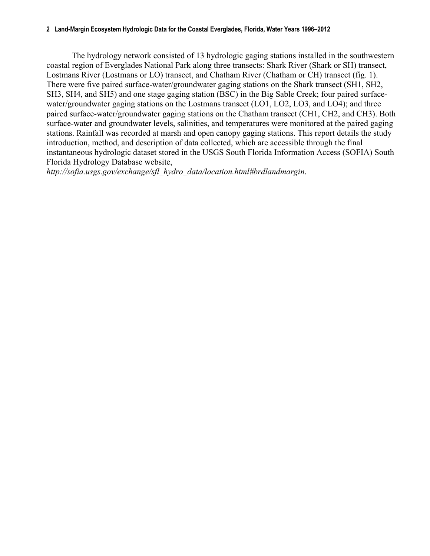#### **2 Land-Margin Ecosystem Hydrologic Data for the Coastal Everglades, Florida, Water Years 1996–2012**

The hydrology network consisted of 13 hydrologic gaging stations installed in the southwestern coastal region of Everglades National Park along three transects: Shark River (Shark or SH) transect, Lostmans River (Lostmans or LO) transect, and Chatham River (Chatham or CH) transect (fig. 1). There were five paired surface-water/groundwater gaging stations on the Shark transect (SH1, SH2, SH3, SH4, and SH5) and one stage gaging station (BSC) in the Big Sable Creek; four paired surfacewater/groundwater gaging stations on the Lostmans transect (LO1, LO2, LO3, and LO4); and three paired surface-water/groundwater gaging stations on the Chatham transect (CH1, CH2, and CH3). Both surface-water and groundwater levels, salinities, and temperatures were monitored at the paired gaging stations. Rainfall was recorded at marsh and open canopy gaging stations. This report details the study introduction, method, and description of data collected, which are accessible through the final instantaneous hydrologic dataset stored in the USGS South Florida Information Access (SOFIA) South Florida Hydrology Database website,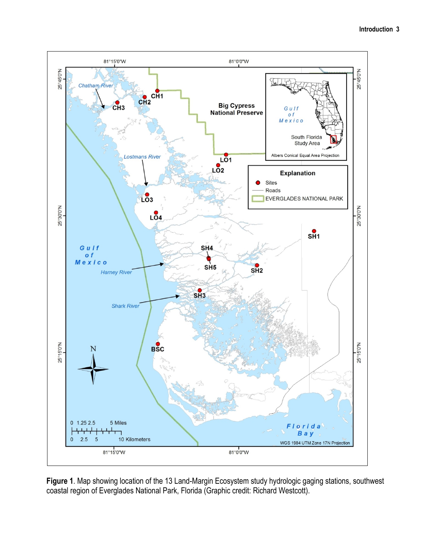

**Figure 1**. Map showing location of the 13 Land-Margin Ecosystem study hydrologic gaging stations, southwest coastal region of Everglades National Park, Florida (Graphic credit: Richard Westcott).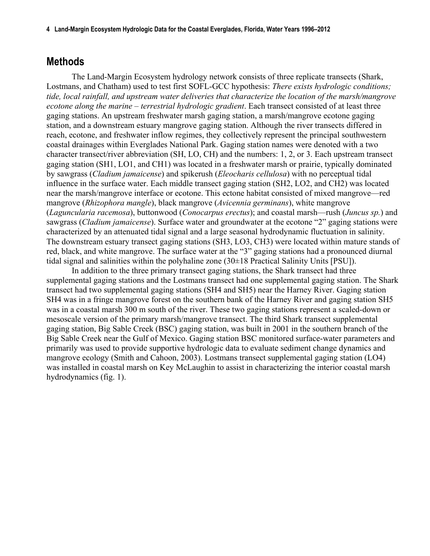**4 Land-Margin Ecosystem Hydrologic Data for the Coastal Everglades, Florida, Water Years 1996–2012**

## **Methods**

The Land-Margin Ecosystem hydrology network consists of three replicate transects (Shark, Lostmans, and Chatham) used to test first SOFL-GCC hypothesis: *There exists hydrologic conditions; tide, local rainfall, and upstream water deliveries that characterize the location of the marsh/mangrove ecotone along the marine – terrestrial hydrologic gradient*. Each transect consisted of at least three gaging stations. An upstream freshwater marsh gaging station, a marsh/mangrove ecotone gaging station, and a downstream estuary mangrove gaging station. Although the river transects differed in reach, ecotone, and freshwater inflow regimes, they collectively represent the principal southwestern coastal drainages within Everglades National Park. Gaging station names were denoted with a two character transect/river abbreviation (SH, LO, CH) and the numbers: 1, 2, or 3. Each upstream transect gaging station (SH1, LO1, and CH1) was located in a freshwater marsh or prairie, typically dominated by sawgrass (*Cladium jamaicense*) and spikerush (*Eleocharis cellulosa*) with no perceptual tidal influence in the surface water. Each middle transect gaging station (SH2, LO2, and CH2) was located near the marsh/mangrove interface or ecotone. This ectone habitat consisted of mixed mangrove—red mangrove (*Rhizophora mangle*), black mangrove (*Avicennia germinans*), white mangrove (*Laguncularia racemosa*), buttonwood (*Conocarpus erectus*); and coastal marsh—rush (*Juncus sp.*) and sawgrass (*Cladium jamaicense*). Surface water and groundwater at the ecotone "2" gaging stations were characterized by an attenuated tidal signal and a large seasonal hydrodynamic fluctuation in salinity. The downstream estuary transect gaging stations (SH3, LO3, CH3) were located within mature stands of red, black, and white mangrove. The surface water at the "3" gaging stations had a pronounced diurnal tidal signal and salinities within the polyhaline zone (30±18 Practical Salinity Units [PSU]).

In addition to the three primary transect gaging stations, the Shark transect had three supplemental gaging stations and the Lostmans transect had one supplemental gaging station. The Shark transect had two supplemental gaging stations (SH4 and SH5) near the Harney River. Gaging station SH4 was in a fringe mangrove forest on the southern bank of the Harney River and gaging station SH5 was in a coastal marsh 300 m south of the river. These two gaging stations represent a scaled-down or mesoscale version of the primary marsh/mangrove transect. The third Shark transect supplemental gaging station, Big Sable Creek (BSC) gaging station, was built in 2001 in the southern branch of the Big Sable Creek near the Gulf of Mexico. Gaging station BSC monitored surface-water parameters and primarily was used to provide supportive hydrologic data to evaluate sediment change dynamics and mangrove ecology (Smith and Cahoon, 2003). Lostmans transect supplemental gaging station (LO4) was installed in coastal marsh on Key McLaughin to assist in characterizing the interior coastal marsh hydrodynamics (fig. 1).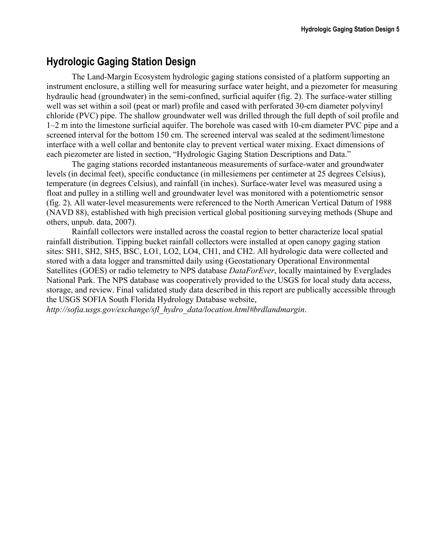## **Hydrologic Gaging Station Design**

The Land-Margin Ecosystem hydrologic gaging stations consisted of a platform supporting an instrument enclosure, a stilling well for measuring surface water height, and a piezometer for measuring hydraulic head (groundwater) in the semi-confined, surficial aquifer (fig. 2). The surface-water stilling well was set within a soil (peat or marl) profile and cased with perforated 30-cm diameter polyvinyl chloride (PVC) pipe. The shallow groundwater well was drilled through the full depth of soil profile and 1–2 m into the limestone surficial aquifer. The borehole was cased with 10-cm diameter PVC pipe and a screened interval for the bottom 150 cm. The screened interval was sealed at the sediment/limestone interface with a well collar and bentonite clay to prevent vertical water mixing. Exact dimensions of each piezometer are listed in section, "Hydrologic Gaging Station Descriptions and Data."

The gaging stations recorded instantaneous measurements of surface-water and groundwater levels (in decimal feet), specific conductance (in millesiemens per centimeter at 25 degrees Celsius), temperature (in degrees Celsius), and rainfall (in inches). Surface-water level was measured using a float and pulley in a stilling well and groundwater level was monitored with a potentiometric sensor (fig. 2). All water-level measurements were referenced to the North American Vertical Datum of 1988 (NAVD 88), established with high precision vertical global positioning surveying methods (Shupe and others, unpub. data, 2007).

Rainfall collectors were installed across the coastal region to better characterize local spatial rainfall distribution. Tipping bucket rainfall collectors were installed at open canopy gaging station sites: SH1, SH2, SH5, BSC, LO1, LO2, LO4, CH1, and CH2. All hydrologic data were collected and stored with a data logger and transmitted daily using (Geostationary Operational Environmental Satellites (GOES) or radio telemetry to NPS database *DataForEver*, locally maintained by Everglades National Park. The NPS database was cooperatively provided to the USGS for local study data access, storage, and review. Final validated study data described in this report are publically accessible through the USGS SOFIA South Florida Hydrology Database website,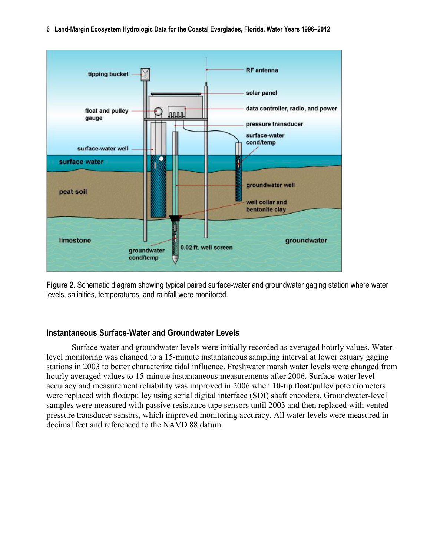**6 Land-Margin Ecosystem Hydrologic Data for the Coastal Everglades, Florida, Water Years 1996–2012**



**Figure 2.** Schematic diagram showing typical paired surface-water and groundwater gaging station where water levels, salinities, temperatures, and rainfall were monitored.

#### **Instantaneous Surface-Water and Groundwater Levels**

Surface-water and groundwater levels were initially recorded as averaged hourly values. Waterlevel monitoring was changed to a 15-minute instantaneous sampling interval at lower estuary gaging stations in 2003 to better characterize tidal influence. Freshwater marsh water levels were changed from hourly averaged values to 15-minute instantaneous measurements after 2006. Surface-water level accuracy and measurement reliability was improved in 2006 when 10-tip float/pulley potentiometers were replaced with float/pulley using serial digital interface (SDI) shaft encoders. Groundwater-level samples were measured with passive resistance tape sensors until 2003 and then replaced with vented pressure transducer sensors, which improved monitoring accuracy. All water levels were measured in decimal feet and referenced to the NAVD 88 datum.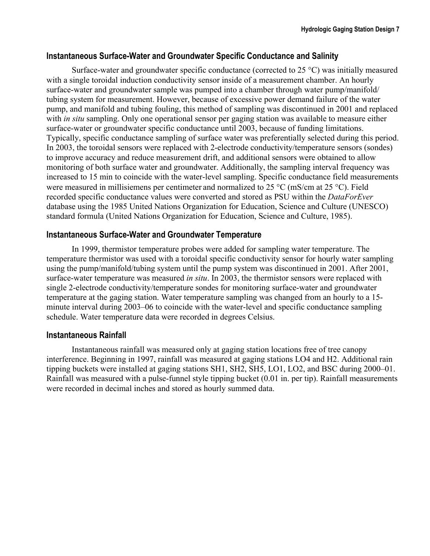## **Instantaneous Surface-Water and Groundwater Specific Conductance and Salinity**

Surface-water and groundwater specific conductance (corrected to 25 °C) was initially measured with a single toroidal induction conductivity sensor inside of a measurement chamber. An hourly surface-water and groundwater sample was pumped into a chamber through water pump/manifold/ tubing system for measurement. However, because of excessive power demand failure of the water pump, and manifold and tubing fouling, this method of sampling was discontinued in 2001 and replaced with *in situ* sampling. Only one operational sensor per gaging station was available to measure either surface-water or groundwater specific conductance until 2003, because of funding limitations. Typically, specific conductance sampling of surface water was preferentially selected during this period. In 2003, the toroidal sensors were replaced with 2-electrode conductivity/temperature sensors (sondes) to improve accuracy and reduce measurement drift, and additional sensors were obtained to allow monitoring of both surface water and groundwater. Additionally, the sampling interval frequency was increased to 15 min to coincide with the water-level sampling. Specific conductance field measurements were measured in millisiemens per centimeter and normalized to 25 °C (mS/cm at 25 °C). Field recorded specific conductance values were converted and stored as PSU within the *DataForEver*  database using the 1985 United Nations Organization for Education, Science and Culture (UNESCO) standard formula (United Nations Organization for Education, Science and Culture, 1985).

## **Instantaneous Surface-Water and Groundwater Temperature**

In 1999, thermistor temperature probes were added for sampling water temperature. The temperature thermistor was used with a toroidal specific conductivity sensor for hourly water sampling using the pump/manifold/tubing system until the pump system was discontinued in 2001. After 2001, surface-water temperature was measured *in situ*. In 2003, the thermistor sensors were replaced with single 2-electrode conductivity/temperature sondes for monitoring surface-water and groundwater temperature at the gaging station. Water temperature sampling was changed from an hourly to a 15 minute interval during 2003–06 to coincide with the water-level and specific conductance sampling schedule. Water temperature data were recorded in degrees Celsius.

## **Instantaneous Rainfall**

Instantaneous rainfall was measured only at gaging station locations free of tree canopy interference. Beginning in 1997, rainfall was measured at gaging stations LO4 and H2. Additional rain tipping buckets were installed at gaging stations SH1, SH2, SH5, LO1, LO2, and BSC during 2000–01. Rainfall was measured with a pulse-funnel style tipping bucket (0.01 in. per tip). Rainfall measurements were recorded in decimal inches and stored as hourly summed data.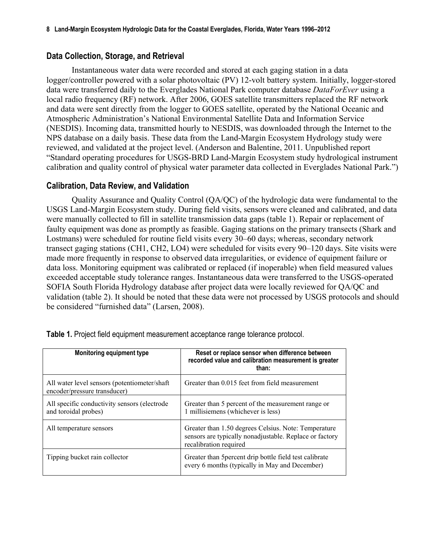## **Data Collection, Storage, and Retrieval**

Instantaneous water data were recorded and stored at each gaging station in a data logger/controller powered with a solar photovoltaic (PV) 12-volt battery system. Initially, logger-stored data were transferred daily to the Everglades National Park computer database *DataForEver* using a local radio frequency (RF) network. After 2006, GOES satellite transmitters replaced the RF network and data were sent directly from the logger to GOES satellite, operated by the National Oceanic and Atmospheric Administration's National Environmental Satellite Data and Information Service (NESDIS). Incoming data, transmitted hourly to NESDIS, was downloaded through the Internet to the NPS database on a daily basis. These data from the Land-Margin Ecosystem Hydrology study were reviewed, and validated at the project level. (Anderson and Balentine, 2011. Unpublished report "Standard operating procedures for USGS-BRD Land-Margin Ecosystem study hydrological instrument calibration and quality control of physical water parameter data collected in Everglades National Park.")

#### **Calibration, Data Review, and Validation**

Quality Assurance and Quality Control (QA/QC) of the hydrologic data were fundamental to the USGS Land-Margin Ecosystem study. During field visits, sensors were cleaned and calibrated, and data were manually collected to fill in satellite transmission data gaps (table 1). Repair or replacement of faulty equipment was done as promptly as feasible. Gaging stations on the primary transects (Shark and Lostmans) were scheduled for routine field visits every 30–60 days; whereas, secondary network transect gaging stations (CH1, CH2, LO4) were scheduled for visits every 90–120 days. Site visits were made more frequently in response to observed data irregularities, or evidence of equipment failure or data loss. Monitoring equipment was calibrated or replaced (if inoperable) when field measured values exceeded acceptable study tolerance ranges. Instantaneous data were transferred to the USGS-operated SOFIA South Florida Hydrology database after project data were locally reviewed for QA/QC and validation (table 2). It should be noted that these data were not processed by USGS protocols and should be considered "furnished data" (Larsen, 2008).

| <b>Monitoring equipment type</b>                                              | Reset or replace sensor when difference between<br>recorded value and calibration measurement is greater<br>than:                         |
|-------------------------------------------------------------------------------|-------------------------------------------------------------------------------------------------------------------------------------------|
| All water level sensors (potentiometer/shaft)<br>encoder/pressure transducer) | Greater than 0.015 feet from field measurement                                                                                            |
| All specific conductivity sensors (electrode<br>and toroidal probes)          | Greater than 5 percent of the measurement range or<br>1 millisiemens (whichever is less)                                                  |
| All temperature sensors                                                       | Greater than 1.50 degrees Celsius. Note: Temperature<br>sensors are typically nonadjustable. Replace or factory<br>recalibration required |
| Tipping bucket rain collector                                                 | Greater than 5 percent drip bottle field test calibrate<br>every 6 months (typically in May and December)                                 |

**Table 1.** Project field equipment measurement acceptance range tolerance protocol.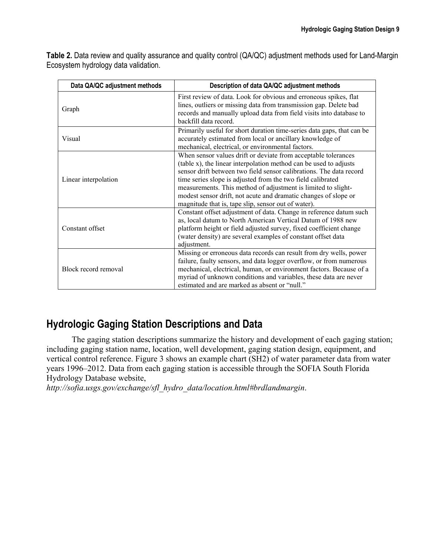**Table 2.** Data review and quality assurance and quality control (QA/QC) adjustment methods used for Land-Margin Ecosystem hydrology data validation.

| Data QA/QC adjustment methods | Description of data QA/QC adjustment methods                                                                                                                                                                                                                                                                                                                                                                                                                         |
|-------------------------------|----------------------------------------------------------------------------------------------------------------------------------------------------------------------------------------------------------------------------------------------------------------------------------------------------------------------------------------------------------------------------------------------------------------------------------------------------------------------|
| Graph                         | First review of data. Look for obvious and erroneous spikes, flat<br>lines, outliers or missing data from transmission gap. Delete bad<br>records and manually upload data from field visits into database to<br>backfill data record.                                                                                                                                                                                                                               |
| Visual                        | Primarily useful for short duration time-series data gaps, that can be<br>accurately estimated from local or ancillary knowledge of<br>mechanical, electrical, or environmental factors.                                                                                                                                                                                                                                                                             |
| Linear interpolation          | When sensor values drift or deviate from acceptable tolerances<br>(table x), the linear interpolation method can be used to adjusts<br>sensor drift between two field sensor calibrations. The data record<br>time series slope is adjusted from the two field calibrated<br>measurements. This method of adjustment is limited to slight-<br>modest sensor drift, not acute and dramatic changes of slope or<br>magnitude that is, tape slip, sensor out of water). |
| Constant offset               | Constant offset adjustment of data. Change in reference datum such<br>as, local datum to North American Vertical Datum of 1988 new<br>platform height or field adjusted survey, fixed coefficient change<br>(water density) are several examples of constant offset data<br>adjustment.                                                                                                                                                                              |
| Block record removal          | Missing or erroneous data records can result from dry wells, power<br>failure, faulty sensors, and data logger overflow, or from numerous<br>mechanical, electrical, human, or environment factors. Because of a<br>myriad of unknown conditions and variables, these data are never<br>estimated and are marked as absent or "null."                                                                                                                                |

## **Hydrologic Gaging Station Descriptions and Data**

The gaging station descriptions summarize the history and development of each gaging station; including gaging station name, location, well development, gaging station design, equipment, and vertical control reference. Figure 3 shows an example chart (SH2) of water parameter data from water years 1996–2012. Data from each gaging station is accessible through the SOFIA South Florida Hydrology Database website,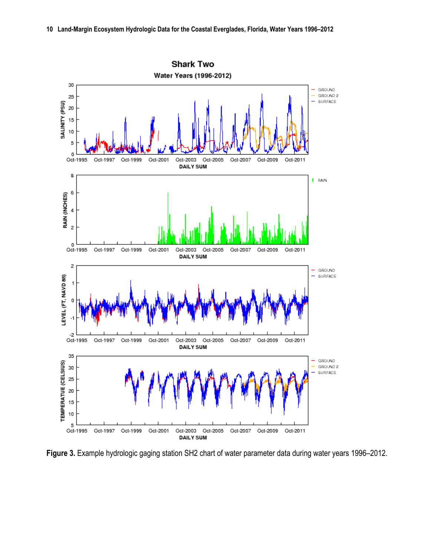

**Figure 3.** Example hydrologic gaging station SH2 chart of water parameter data during water years 1996–2012.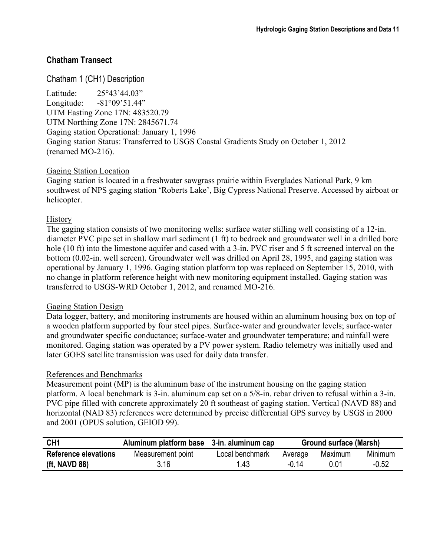## **Chatham Transect**

Chatham 1 (CH1) Description Latitude: 25°43'44.03" Longitude: -81°09'51.44" UTM Easting Zone 17N: 483520.79 UTM Northing Zone 17N: 2845671.74 Gaging station Operational: January 1, 1996 Gaging station Status: Transferred to USGS Coastal Gradients Study on October 1, 2012 (renamed MO-216).

## Gaging Station Location

Gaging station is located in a freshwater sawgrass prairie within Everglades National Park, 9 km southwest of NPS gaging station 'Roberts Lake', Big Cypress National Preserve. Accessed by airboat or helicopter.

## **History**

The gaging station consists of two monitoring wells: surface water stilling well consisting of a 12-in. diameter PVC pipe set in shallow marl sediment (1 ft) to bedrock and groundwater well in a drilled bore hole (10 ft) into the limestone aquifer and cased with a 3-in. PVC riser and 5 ft screened interval on the bottom (0.02-in. well screen). Groundwater well was drilled on April 28, 1995, and gaging station was operational by January 1, 1996. Gaging station platform top was replaced on September 15, 2010, with no change in platform reference height with new monitoring equipment installed. Gaging station was transferred to USGS-WRD October 1, 2012, and renamed MO-216.

#### Gaging Station Design

Data logger, battery, and monitoring instruments are housed within an aluminum housing box on top of a wooden platform supported by four steel pipes. Surface-water and groundwater levels; surface-water and groundwater specific conductance; surface-water and groundwater temperature; and rainfall were monitored. Gaging station was operated by a PV power system. Radio telemetry was initially used and later GOES satellite transmission was used for daily data transfer.

## References and Benchmarks

Measurement point (MP) is the aluminum base of the instrument housing on the gaging station platform. A local benchmark is 3-in. aluminum cap set on a 5/8-in. rebar driven to refusal within a 3-in. PVC pipe filled with concrete approximately 20 ft southeast of gaging station. Vertical (NAVD 88) and horizontal (NAD 83) references were determined by precise differential GPS survey by USGS in 2000 and 2001 (OPUS solution, GEIOD 99).

| CH <sub>1</sub>             | Aluminum platform base 3-in. aluminum cap |                 | <b>Ground surface (Marsh)</b> |         |         |
|-----------------------------|-------------------------------------------|-----------------|-------------------------------|---------|---------|
| <b>Reference elevations</b> | Measurement point                         | Local benchmark | Average                       | Maximum | Minimum |
| (ft, NAVD 88)               | 3.16                                      | 1.43            | -0.14                         | በ በ1    | $-0.52$ |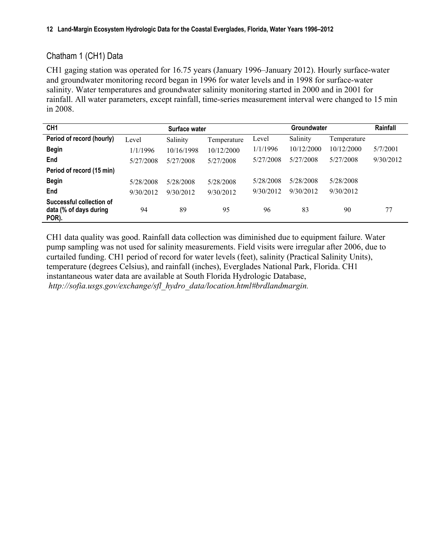## Chatham 1 (CH1) Data

CH1 gaging station was operated for 16.75 years (January 1996–January 2012). Hourly surface-water and groundwater monitoring record began in 1996 for water levels and in 1998 for surface-water salinity. Water temperatures and groundwater salinity monitoring started in 2000 and in 2001 for rainfall. All water parameters, except rainfall, time-series measurement interval were changed to 15 min in 2008.

| CH <sub>1</sub>                                             | <b>Groundwater</b><br>Surface water |            |             | Rainfall  |            |             |           |
|-------------------------------------------------------------|-------------------------------------|------------|-------------|-----------|------------|-------------|-----------|
| Period of record (hourly)                                   | Level                               | Salinity   | Temperature | Level     | Salinity   | Temperature |           |
| <b>Begin</b>                                                | 1/1/1996                            | 10/16/1998 | 10/12/2000  | 1/1/1996  | 10/12/2000 | 10/12/2000  | 5/7/2001  |
| End                                                         | 5/27/2008                           | 5/27/2008  | 5/27/2008   | 5/27/2008 | 5/27/2008  | 5/27/2008   | 9/30/2012 |
| Period of record (15 min)                                   |                                     |            |             |           |            |             |           |
| <b>Begin</b>                                                | 5/28/2008                           | 5/28/2008  | 5/28/2008   | 5/28/2008 | 5/28/2008  | 5/28/2008   |           |
| End                                                         | 9/30/2012                           | 9/30/2012  | 9/30/2012   | 9/30/2012 | 9/30/2012  | 9/30/2012   |           |
| Successful collection of<br>data (% of days during<br>POR). | 94                                  | 89         | 95          | 96        | 83         | 90          | 77        |

CH1 data quality was good. Rainfall data collection was diminished due to equipment failure. Water pump sampling was not used for salinity measurements. Field visits were irregular after 2006, due to curtailed funding. CH1 period of record for water levels (feet), salinity (Practical Salinity Units), temperature (degrees Celsius), and rainfall (inches), Everglades National Park, Florida. CH1 instantaneous water data are available at South Florida Hydrologic Database, *[http://sofia.usgs.gov/exchange/sfl\\_hydro\\_data/location.html#brdlandmargin.](http://sofia.usgs.gov/exchange/sfl_hydro_data/location.html#brdlandmargin.

)*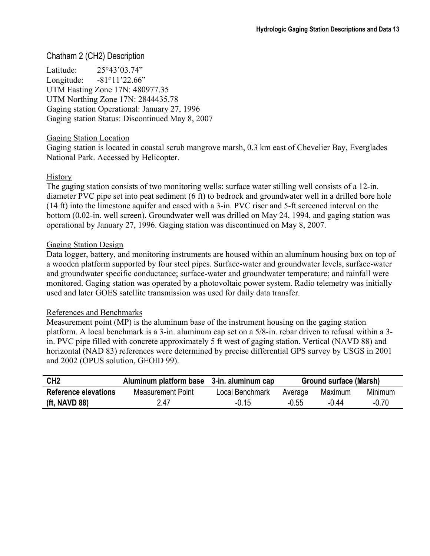## Chatham 2 (CH2) Description

Latitude: 25°43'03.74" Longitude: -81°11'22.66" UTM Easting Zone 17N: 480977.35 UTM Northing Zone 17N: 2844435.78 Gaging station Operational: January 27, 1996 Gaging station Status: Discontinued May 8, 2007

#### Gaging Station Location

Gaging station is located in coastal scrub mangrove marsh, 0.3 km east of Chevelier Bay, Everglades National Park. Accessed by Helicopter.

#### **History**

The gaging station consists of two monitoring wells: surface water stilling well consists of a 12-in. diameter PVC pipe set into peat sediment (6 ft) to bedrock and groundwater well in a drilled bore hole (14 ft) into the limestone aquifer and cased with a 3-in. PVC riser and 5-ft screened interval on the bottom (0.02-in. well screen). Groundwater well was drilled on May 24, 1994, and gaging station was operational by January 27, 1996. Gaging station was discontinued on May 8, 2007.

#### Gaging Station Design

Data logger, battery, and monitoring instruments are housed within an aluminum housing box on top of a wooden platform supported by four steel pipes. Surface-water and groundwater levels, surface-water and groundwater specific conductance; surface-water and groundwater temperature; and rainfall were monitored. Gaging station was operated by a photovoltaic power system. Radio telemetry was initially used and later GOES satellite transmission was used for daily data transfer.

#### References and Benchmarks

Measurement point (MP) is the aluminum base of the instrument housing on the gaging station platform. A local benchmark is a 3-in. aluminum cap set on a 5/8-in. rebar driven to refusal within a 3 in. PVC pipe filled with concrete approximately 5 ft west of gaging station. Vertical (NAVD 88) and horizontal (NAD 83) references were determined by precise differential GPS survey by USGS in 2001 and 2002 (OPUS solution, GEOID 99).

| CH <sub>2</sub>             | Aluminum platform base 3-in. aluminum cap |                 | Ground surface (Marsh) |         |         |
|-----------------------------|-------------------------------------------|-----------------|------------------------|---------|---------|
| <b>Reference elevations</b> | Measurement Point                         | Local Benchmark | Average                | Maximum | Minimum |
| (ft, NAVD 88)               | 2.47                                      | $-0.15$         | -0.55                  | -0 44   | -0.70   |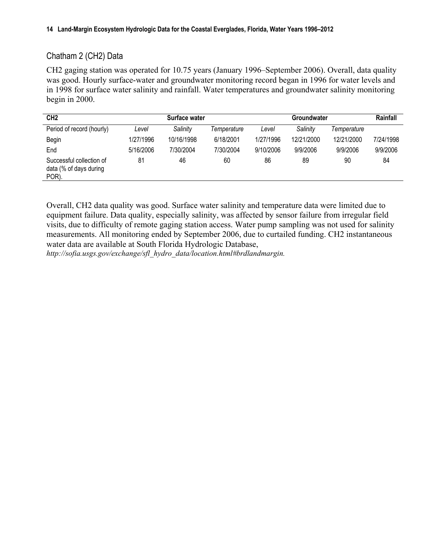## Chatham 2 (CH2) Data

CH2 gaging station was operated for 10.75 years (January 1996–September 2006). Overall, data quality was good. Hourly surface-water and groundwater monitoring record began in 1996 for water levels and in 1998 for surface water salinity and rainfall. Water temperatures and groundwater salinity monitoring begin in 2000.

| CH <sub>2</sub>                                             |           | Surface water |             |           | Groundwater |             | Rainfall  |
|-------------------------------------------------------------|-----------|---------------|-------------|-----------|-------------|-------------|-----------|
| Period of record (hourly)                                   | Level     | Salinity      | Temperature | Level     | Salinity    | Temperature |           |
| <b>Begin</b>                                                | 1/27/1996 | 10/16/1998    | 6/18/2001   | 1/27/1996 | 12/21/2000  | 12/21/2000  | 7/24/1998 |
| End                                                         | 5/16/2006 | 7/30/2004     | 7/30/2004   | 9/10/2006 | 9/9/2006    | 9/9/2006    | 9/9/2006  |
| Successful collection of<br>data (% of days during<br>POR). | 81        | 46            | 60          | 86        | 89          | 90          | 84        |

Overall, CH2 data quality was good. Surface water salinity and temperature data were limited due to equipment failure. Data quality, especially salinity, was affected by sensor failure from irregular field visits, due to difficulty of remote gaging station access. Water pump sampling was not used for salinity measurements. All monitoring ended by September 2006, due to curtailed funding. CH2 instantaneous water data are available at South Florida Hydrologic Database,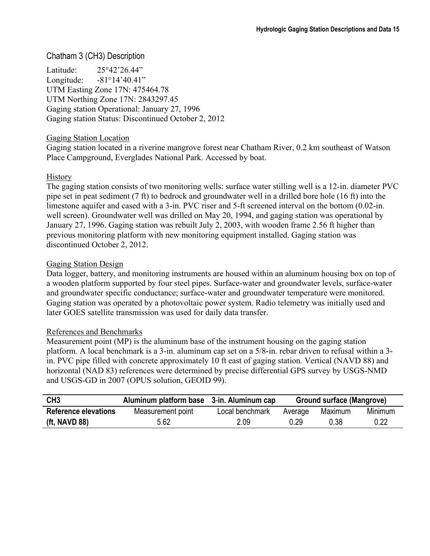## Chatham 3 (CH3) Description

Latitude: 25°42'26.44" Longitude: -81°14'40.41" UTM Easting Zone 17N: 475464.78 UTM Northing Zone 17N: 2843297.45 Gaging station Operational: January 27, 1996 Gaging station Status: Discontinued October 2, 2012

#### Gaging Station Location

Gaging station located in a riverine mangrove forest near Chatham River, 0.2 km southeast of Watson Place Campground, Everglades National Park. Accessed by boat.

#### **History**

The gaging station consists of two monitoring wells: surface water stilling well is a 12-in. diameter PVC pipe set in peat sediment (7 ft) to bedrock and groundwater well in a drilled bore hole (16 ft) into the limestone aquifer and cased with a 3-in. PVC riser and 5-ft screened interval on the bottom (0.02-in. well screen). Groundwater well was drilled on May 20, 1994, and gaging station was operational by January 27, 1996. Gaging station was rebuilt July 2, 2003, with wooden frame 2.56 ft higher than previous monitoring platform with new monitoring equipment installed. Gaging station was discontinued October 2, 2012.

#### Gaging Station Design

Data logger, battery, and monitoring instruments are housed within an aluminum housing box on top of a wooden platform supported by four steel pipes. Surface-water and groundwater levels, surface-water and groundwater specific conductance; surface-water and groundwater temperature were monitored. Gaging station was operated by a photovoltaic power system. Radio telemetry was initially used and later GOES satellite transmission was used for daily data transfer.

#### References and Benchmarks

Measurement point (MP) is the aluminum base of the instrument housing on the gaging station platform. A local benchmark is a 3-in. aluminum cap set on a 5/8-in. rebar driven to refusal within a 3 in. PVC pipe filled with concrete approximately 10 ft east of gaging station. Vertical (NAVD 88) and horizontal (NAD 83) references were determined by precise differential GPS survey by USGS-NMD and USGS-GD in 2007 (OPUS solution, GEOID 99).

| CH <sub>3</sub>             | Aluminum platform base 3-in. Aluminum cap |                 | Ground surface (Mangrove) |         |         |
|-----------------------------|-------------------------------------------|-----------------|---------------------------|---------|---------|
| <b>Reference elevations</b> | Measurement point                         | Local benchmark | Average                   | Maximum | Minimum |
| (ft, NAVD 88)               | 5.62                                      | 2.09            | 0.29                      | 0.38    | 0.22    |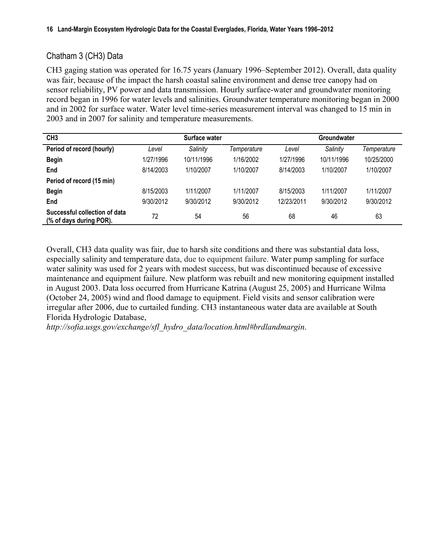## Chatham 3 (CH3) Data

CH3 gaging station was operated for 16.75 years (January 1996–September 2012). Overall, data quality was fair, because of the impact the harsh coastal saline environment and dense tree canopy had on sensor reliability, PV power and data transmission. Hourly surface-water and groundwater monitoring record began in 1996 for water levels and salinities. Groundwater temperature monitoring began in 2000 and in 2002 for surface water. Water level time-series measurement interval was changed to 15 min in 2003 and in 2007 for salinity and temperature measurements.

| CH <sub>3</sub>                                          | Surface water |            |             | <b>Groundwater</b> |            |             |  |
|----------------------------------------------------------|---------------|------------|-------------|--------------------|------------|-------------|--|
| Period of record (hourly)                                | Level         | Salinity   | Temperature | Level              | Salinity   | Temperature |  |
| <b>Begin</b>                                             | 1/27/1996     | 10/11/1996 | 1/16/2002   | 1/27/1996          | 10/11/1996 | 10/25/2000  |  |
| End                                                      | 8/14/2003     | 1/10/2007  | 1/10/2007   | 8/14/2003          | 1/10/2007  | 1/10/2007   |  |
| Period of record (15 min)                                |               |            |             |                    |            |             |  |
| <b>Begin</b>                                             | 8/15/2003     | 1/11/2007  | 1/11/2007   | 8/15/2003          | 1/11/2007  | 1/11/2007   |  |
| End                                                      | 9/30/2012     | 9/30/2012  | 9/30/2012   | 12/23/2011         | 9/30/2012  | 9/30/2012   |  |
| Successful collection of data<br>(% of days during POR). | 72            | 54         | 56          | 68                 | 46         | 63          |  |

Overall, CH3 data quality was fair, due to harsh site conditions and there was substantial data loss, especially salinity and temperature data, due to equipment failure. Water pump sampling for surface water salinity was used for 2 years with modest success, but was discontinued because of excessive maintenance and equipment failure. New platform was rebuilt and new monitoring equipment installed in August 2003. Data loss occurred from Hurricane Katrina (August 25, 2005) and Hurricane Wilma (October 24, 2005) wind and flood damage to equipment. Field visits and sensor calibration were irregular after 2006, due to curtailed funding. CH3 instantaneous water data are available at South Florida Hydrologic Database,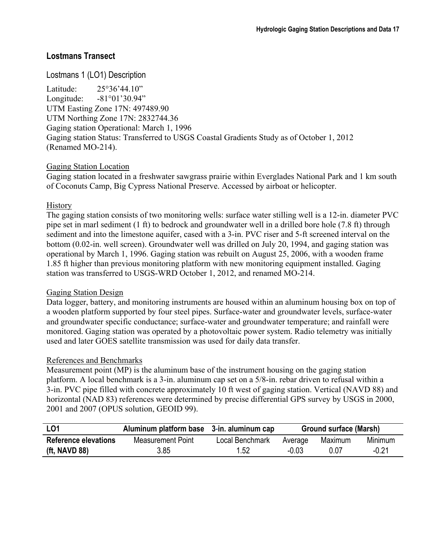## **Lostmans Transect**

## Lostmans 1 (LO1) Description

Latitude: 25°36'44.10" Longitude: -81°01'30.94" UTM Easting Zone 17N: 497489.90 UTM Northing Zone 17N: 2832744.36 Gaging station Operational: March 1, 1996 Gaging station Status: Transferred to USGS Coastal Gradients Study as of October 1, 2012 (Renamed MO-214).

#### Gaging Station Location

Gaging station located in a freshwater sawgrass prairie within Everglades National Park and 1 km south of Coconuts Camp, Big Cypress National Preserve. Accessed by airboat or helicopter.

#### **History**

The gaging station consists of two monitoring wells: surface water stilling well is a 12-in. diameter PVC pipe set in marl sediment (1 ft) to bedrock and groundwater well in a drilled bore hole (7.8 ft) through sediment and into the limestone aquifer, cased with a 3-in. PVC riser and 5-ft screened interval on the bottom (0.02-in. well screen). Groundwater well was drilled on July 20, 1994, and gaging station was operational by March 1, 1996. Gaging station was rebuilt on August 25, 2006, with a wooden frame 1.85 ft higher than previous monitoring platform with new monitoring equipment installed. Gaging station was transferred to USGS-WRD October 1, 2012, and renamed MO-214.

#### Gaging Station Design

Data logger, battery, and monitoring instruments are housed within an aluminum housing box on top of a wooden platform supported by four steel pipes. Surface-water and groundwater levels, surface-water and groundwater specific conductance; surface-water and groundwater temperature; and rainfall were monitored. Gaging station was operated by a photovoltaic power system. Radio telemetry was initially used and later GOES satellite transmission was used for daily data transfer.

#### References and Benchmarks

Measurement point (MP) is the aluminum base of the instrument housing on the gaging station platform. A local benchmark is a 3-in. aluminum cap set on a 5/8-in. rebar driven to refusal within a 3-in. PVC pipe filled with concrete approximately 10 ft west of gaging station. Vertical (NAVD 88) and horizontal (NAD 83) references were determined by precise differential GPS survey by USGS in 2000, 2001 and 2007 (OPUS solution, GEOID 99).

| L <sub>01</sub>             | Aluminum platform base 3-in. aluminum cap |                 | Ground surface (Marsh)        |      |         |
|-----------------------------|-------------------------------------------|-----------------|-------------------------------|------|---------|
| <b>Reference elevations</b> | Measurement Point                         | Local Benchmark | Minimum<br>Maximum<br>Average |      |         |
| (ft, NAVD 88)               | 3.85                                      | 1.52            | $-0.03$                       | 0.07 | $-0.21$ |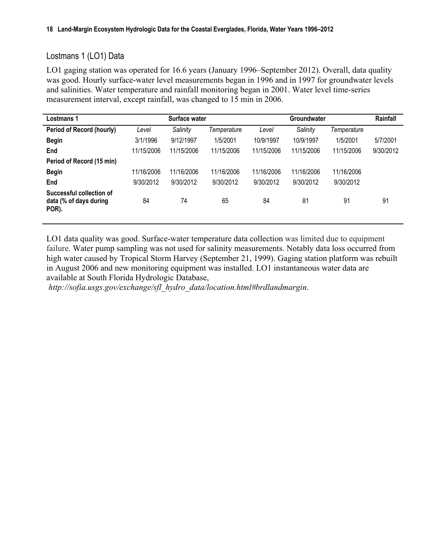## Lostmans 1 (LO1) Data

LO1 gaging station was operated for 16.6 years (January 1996–September 2012). Overall, data quality was good. Hourly surface-water level measurements began in 1996 and in 1997 for groundwater levels and salinities. Water temperature and rainfall monitoring began in 2001. Water level time-series measurement interval, except rainfall, was changed to 15 min in 2006.

| Lostmans 1                                                  |            | Surface water |             |            | Groundwater |             | Rainfall  |
|-------------------------------------------------------------|------------|---------------|-------------|------------|-------------|-------------|-----------|
| Period of Record (hourly)                                   | Level      | Salinity      | Temperature | Level      | Salinity    | Temperature |           |
| <b>Begin</b>                                                | 3/1/1996   | 9/12/1997     | 1/5/2001    | 10/9/1997  | 10/9/1997   | 1/5/2001    | 5/7/2001  |
| End                                                         | 11/15/2006 | 11/15/2006    | 11/15/2006  | 11/15/2006 | 11/15/2006  | 11/15/2006  | 9/30/2012 |
| Period of Record (15 min)                                   |            |               |             |            |             |             |           |
| <b>Begin</b>                                                | 11/16/2006 | 11/16/2006    | 11/16/2006  | 11/16/2006 | 11/16/2006  | 11/16/2006  |           |
| End                                                         | 9/30/2012  | 9/30/2012     | 9/30/2012   | 9/30/2012  | 9/30/2012   | 9/30/2012   |           |
| Successful collection of<br>data (% of days during<br>POR). | 84         | 74            | 65          | 84         | 81          | 91          | 91        |

LO1 data quality was good. Surface-water temperature data collection was limited due to equipment failure. Water pump sampling was not used for salinity measurements. Notably data loss occurred from high water caused by Tropical Storm Harvey (September 21, 1999). Gaging station platform was rebuilt in August 2006 and new monitoring equipment was installed. LO1 instantaneous water data are available at South Florida Hydrologic Database,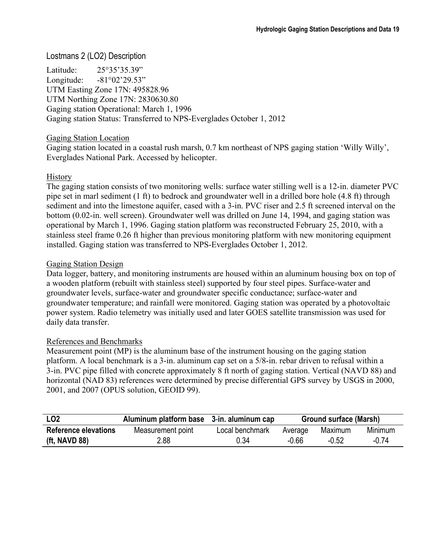## Lostmans 2 (LO2) Description

Latitude: 25°35'35.39" Longitude: -81°02'29.53" UTM Easting Zone 17N: 495828.96 UTM Northing Zone 17N: 2830630.80 Gaging station Operational: March 1, 1996 Gaging station Status: Transferred to NPS-Everglades October 1, 2012

#### Gaging Station Location

Gaging station located in a coastal rush marsh, 0.7 km northeast of NPS gaging station 'Willy Willy', Everglades National Park. Accessed by helicopter.

#### **History**

The gaging station consists of two monitoring wells: surface water stilling well is a 12-in. diameter PVC pipe set in marl sediment (1 ft) to bedrock and groundwater well in a drilled bore hole (4.8 ft) through sediment and into the limestone aquifer, cased with a 3-in. PVC riser and 2.5 ft screened interval on the bottom (0.02-in. well screen). Groundwater well was drilled on June 14, 1994, and gaging station was operational by March 1, 1996. Gaging station platform was reconstructed February 25, 2010, with a stainless steel frame 0.26 ft higher than previous monitoring platform with new monitoring equipment installed. Gaging station was transferred to NPS-Everglades October 1, 2012.

#### Gaging Station Design

Data logger, battery, and monitoring instruments are housed within an aluminum housing box on top of a wooden platform (rebuilt with stainless steel) supported by four steel pipes. Surface-water and groundwater levels, surface-water and groundwater specific conductance; surface-water and groundwater temperature; and rainfall were monitored. Gaging station was operated by a photovoltaic power system. Radio telemetry was initially used and later GOES satellite transmission was used for daily data transfer.

#### References and Benchmarks

Measurement point (MP) is the aluminum base of the instrument housing on the gaging station platform. A local benchmark is a 3-in. aluminum cap set on a 5/8-in. rebar driven to refusal within a 3-in. PVC pipe filled with concrete approximately 8 ft north of gaging station. Vertical (NAVD 88) and horizontal (NAD 83) references were determined by precise differential GPS survey by USGS in 2000, 2001, and 2007 (OPUS solution, GEOID 99).

| LO <sub>2</sub>             | Aluminum platform base 3-in. aluminum cap |                 |         | <b>Ground surface (Marsh)</b> |                |  |
|-----------------------------|-------------------------------------------|-----------------|---------|-------------------------------|----------------|--|
| <b>Reference elevations</b> | Measurement point                         | Local benchmark | Average | Maximum                       | <b>Minimum</b> |  |
| (ft, NAVD 88)               | 2.88                                      | 0.34            | $-0.66$ | $-0.52$                       | -0 74          |  |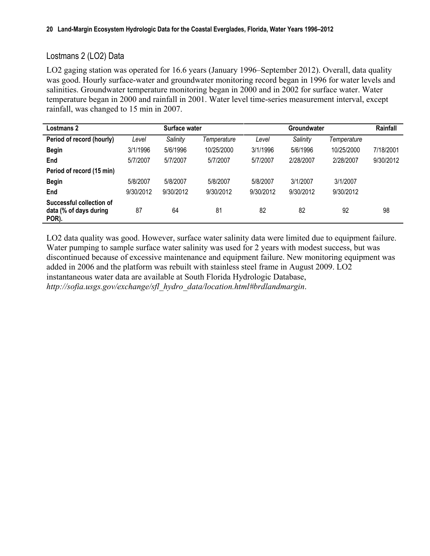## Lostmans 2 (LO2) Data

LO2 gaging station was operated for 16.6 years (January 1996–September 2012). Overall, data quality was good. Hourly surface-water and groundwater monitoring record began in 1996 for water levels and salinities. Groundwater temperature monitoring began in 2000 and in 2002 for surface water. Water temperature began in 2000 and rainfall in 2001. Water level time-series measurement interval, except rainfall, was changed to 15 min in 2007.

| Lostmans 2                                                  |           | Surface water |             |           | Groundwater |             | Rainfall  |
|-------------------------------------------------------------|-----------|---------------|-------------|-----------|-------------|-------------|-----------|
| Period of record (hourly)                                   | Level     | Salinity      | Temperature | Level     | Salinity    | Temperature |           |
| <b>Begin</b>                                                | 3/1/1996  | 5/6/1996      | 10/25/2000  | 3/1/1996  | 5/6/1996    | 10/25/2000  | 7/18/2001 |
| End                                                         | 5/7/2007  | 5/7/2007      | 5/7/2007    | 5/7/2007  | 2/28/2007   | 2/28/2007   | 9/30/2012 |
| Period of record (15 min)                                   |           |               |             |           |             |             |           |
| <b>Begin</b>                                                | 5/8/2007  | 5/8/2007      | 5/8/2007    | 5/8/2007  | 3/1/2007    | 3/1/2007    |           |
| End                                                         | 9/30/2012 | 9/30/2012     | 9/30/2012   | 9/30/2012 | 9/30/2012   | 9/30/2012   |           |
| Successful collection of<br>data (% of days during<br>POR). | 87        | 64            | 81          | 82        | 82          | 92          | 98        |

LO2 data quality was good. However, surface water salinity data were limited due to equipment failure. Water pumping to sample surface water salinity was used for 2 years with modest success, but was discontinued because of excessive maintenance and equipment failure. New monitoring equipment was added in 2006 and the platform was rebuilt with stainless steel frame in August 2009. LO2 instantaneous water data are available at South Florida Hydrologic Database, *[http://sofia.usgs.gov/exchange/sfl\\_hydro\\_data/location.html#brdlandmargin](http://sofia.usgs.gov/exchange/zucker_woods_patino/index.php)*.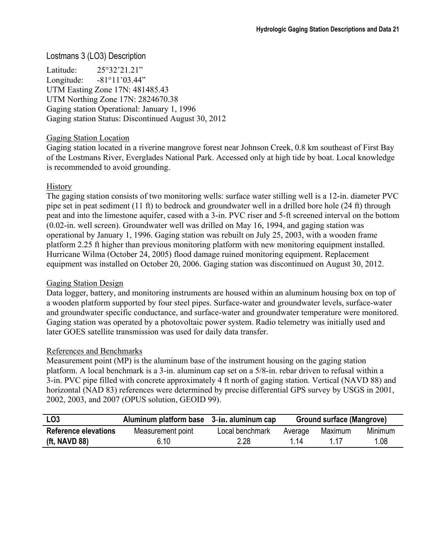## Lostmans 3 (LO3) Description

Latitude: 25°32'21.21" Longitude: -81°11'03.44" UTM Easting Zone 17N: 481485.43 UTM Northing Zone 17N: 2824670.38 Gaging station Operational: January 1, 1996 Gaging station Status: Discontinued August 30, 2012

#### Gaging Station Location

Gaging station located in a riverine mangrove forest near Johnson Creek, 0.8 km southeast of First Bay of the Lostmans River, Everglades National Park. Accessed only at high tide by boat. Local knowledge is recommended to avoid grounding.

#### **History**

The gaging station consists of two monitoring wells: surface water stilling well is a 12-in. diameter PVC pipe set in peat sediment (11 ft) to bedrock and groundwater well in a drilled bore hole (24 ft) through peat and into the limestone aquifer, cased with a 3-in. PVC riser and 5-ft screened interval on the bottom (0.02-in. well screen). Groundwater well was drilled on May 16, 1994, and gaging station was operational by January 1, 1996. Gaging station was rebuilt on July 25, 2003, with a wooden frame platform 2.25 ft higher than previous monitoring platform with new monitoring equipment installed. Hurricane Wilma (October 24, 2005) flood damage ruined monitoring equipment. Replacement equipment was installed on October 20, 2006. Gaging station was discontinued on August 30, 2012.

#### Gaging Station Design

Data logger, battery, and monitoring instruments are housed within an aluminum housing box on top of a wooden platform supported by four steel pipes. Surface-water and groundwater levels, surface-water and groundwater specific conductance, and surface-water and groundwater temperature were monitored. Gaging station was operated by a photovoltaic power system. Radio telemetry was initially used and later GOES satellite transmission was used for daily data transfer.

#### References and Benchmarks

Measurement point (MP) is the aluminum base of the instrument housing on the gaging station platform. A local benchmark is a 3-in. aluminum cap set on a 5/8-in. rebar driven to refusal within a 3-in. PVC pipe filled with concrete approximately 4 ft north of gaging station. Vertical (NAVD 88) and horizontal (NAD 83) references were determined by precise differential GPS survey by USGS in 2001, 2002, 2003, and 2007 (OPUS solution, GEOID 99).

| LO <sub>3</sub>             | Aluminum platform base 3-in. aluminum cap |                 | Ground surface (Mangrove)     |  |      |
|-----------------------------|-------------------------------------------|-----------------|-------------------------------|--|------|
| <b>Reference elevations</b> | Measurement point                         | Local benchmark | Minimum<br>Maximum<br>Average |  |      |
| (ft, NAVD $88$ )            | 6.10                                      | 2.28            | 1 14                          |  | 1.08 |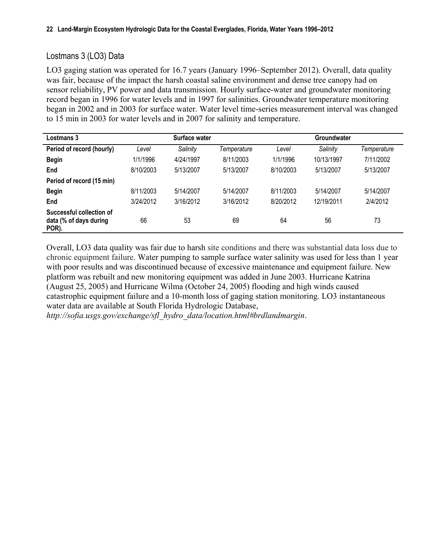## Lostmans 3 (LO3) Data

LO3 gaging station was operated for 16.7 years (January 1996–September 2012). Overall, data quality was fair, because of the impact the harsh coastal saline environment and dense tree canopy had on sensor reliability, PV power and data transmission. Hourly surface-water and groundwater monitoring record began in 1996 for water levels and in 1997 for salinities. Groundwater temperature monitoring began in 2002 and in 2003 for surface water. Water level time-series measurement interval was changed to 15 min in 2003 for water levels and in 2007 for salinity and temperature.

| Lostmans 3                                                  |           | Surface water |             |           | Groundwater |             |
|-------------------------------------------------------------|-----------|---------------|-------------|-----------|-------------|-------------|
| Period of record (hourly)                                   | Level     | Salinity      | Temperature | Level     | Salinity    | Temperature |
| <b>Begin</b>                                                | 1/1/1996  | 4/24/1997     | 8/11/2003   | 1/1/1996  | 10/13/1997  | 7/11/2002   |
| End                                                         | 8/10/2003 | 5/13/2007     | 5/13/2007   | 8/10/2003 | 5/13/2007   | 5/13/2007   |
| Period of record (15 min)                                   |           |               |             |           |             |             |
| <b>Begin</b>                                                | 8/11/2003 | 5/14/2007     | 5/14/2007   | 8/11/2003 | 5/14/2007   | 5/14/2007   |
| End                                                         | 3/24/2012 | 3/16/2012     | 3/16/2012   | 8/20/2012 | 12/19/2011  | 2/4/2012    |
| Successful collection of<br>data (% of days during<br>POR). | 66        | 53            | 69          | 64        | 56          | 73          |

Overall, LO3 data quality was fair due to harsh site conditions and there was substantial data loss due to chronic equipment failure. Water pumping to sample surface water salinity was used for less than 1 year with poor results and was discontinued because of excessive maintenance and equipment failure. New platform was rebuilt and new monitoring equipment was added in June 2003. Hurricane Katrina (August 25, 2005) and Hurricane Wilma (October 24, 2005) flooding and high winds caused catastrophic equipment failure and a 10-month loss of gaging station monitoring. LO3 instantaneous water data are available at South Florida Hydrologic Database,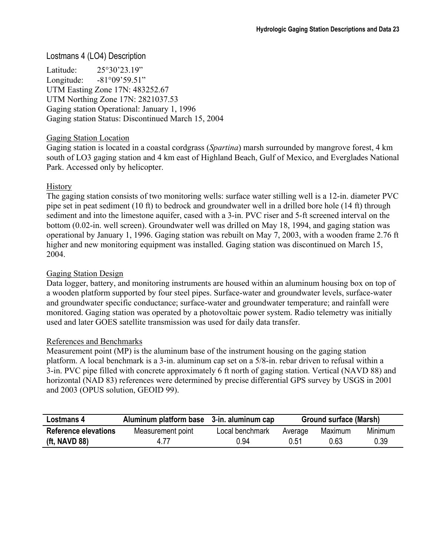#### Lostmans 4 (LO4) Description

Latitude: 25°30'23.19" Longitude: -81°09'59.51" UTM Easting Zone 17N: 483252.67 UTM Northing Zone 17N: 2821037.53 Gaging station Operational: January 1, 1996 Gaging station Status: Discontinued March 15, 2004

#### Gaging Station Location

Gaging station is located in a coastal cordgrass (*Spartina*) marsh surrounded by mangrove forest, 4 km south of LO3 gaging station and 4 km east of Highland Beach, Gulf of Mexico, and Everglades National Park. Accessed only by helicopter.

#### **History**

The gaging station consists of two monitoring wells: surface water stilling well is a 12-in. diameter PVC pipe set in peat sediment (10 ft) to bedrock and groundwater well in a drilled bore hole (14 ft) through sediment and into the limestone aquifer, cased with a 3-in. PVC riser and 5-ft screened interval on the bottom (0.02-in. well screen). Groundwater well was drilled on May 18, 1994, and gaging station was operational by January 1, 1996. Gaging station was rebuilt on May 7, 2003, with a wooden frame 2.76 ft higher and new monitoring equipment was installed. Gaging station was discontinued on March 15, 2004.

#### Gaging Station Design

Data logger, battery, and monitoring instruments are housed within an aluminum housing box on top of a wooden platform supported by four steel pipes. Surface-water and groundwater levels, surface-water and groundwater specific conductance; surface-water and groundwater temperature; and rainfall were monitored. Gaging station was operated by a photovoltaic power system. Radio telemetry was initially used and later GOES satellite transmission was used for daily data transfer.

#### References and Benchmarks

Measurement point (MP) is the aluminum base of the instrument housing on the gaging station platform. A local benchmark is a 3-in. aluminum cap set on a 5/8-in. rebar driven to refusal within a 3-in. PVC pipe filled with concrete approximately 6 ft north of gaging station. Vertical (NAVD 88) and horizontal (NAD 83) references were determined by precise differential GPS survey by USGS in 2001 and 2003 (OPUS solution, GEOID 99).

| Lostmans 4                  | Aluminum platform base 3-in. aluminum cap |                 | <b>Ground surface (Marsh)</b> |      |      |
|-----------------------------|-------------------------------------------|-----------------|-------------------------------|------|------|
| <b>Reference elevations</b> | Measurement point                         | Local benchmark | Minimum<br>Maximum<br>Average |      |      |
| (ft, NAVD 88)               | 4.77                                      | 0.94            | 0.51                          | 0.63 | 0.39 |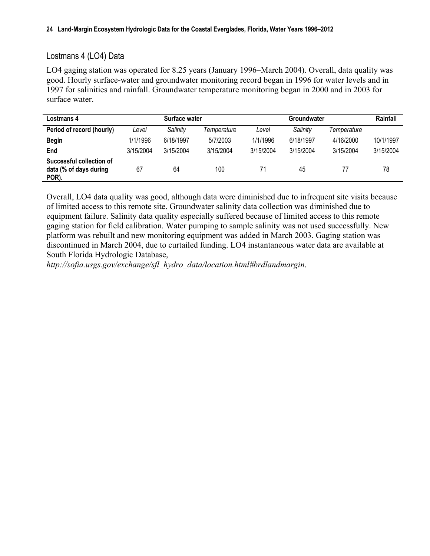## Lostmans 4 (LO4) Data

LO4 gaging station was operated for 8.25 years (January 1996–March 2004). Overall, data quality was good. Hourly surface-water and groundwater monitoring record began in 1996 for water levels and in 1997 for salinities and rainfall. Groundwater temperature monitoring began in 2000 and in 2003 for surface water.

| Lostmans 4                                                  |           | Surface water |             |           | <b>Groundwater</b> |             | Rainfall  |
|-------------------------------------------------------------|-----------|---------------|-------------|-----------|--------------------|-------------|-----------|
| Period of record (hourly)                                   | Level     | Salinity      | Temperature | Level     | Salinity           | Temperature |           |
| <b>Begin</b>                                                | 1/1/1996  | 6/18/1997     | 5/7/2003    | 1/1/1996  | 6/18/1997          | 4/16/2000   | 10/1/1997 |
| End                                                         | 3/15/2004 | 3/15/2004     | 3/15/2004   | 3/15/2004 | 3/15/2004          | 3/15/2004   | 3/15/2004 |
| Successful collection of<br>data (% of days during<br>POR). | 67        | 64            | 100         | 71        | 45                 |             | 78        |

Overall, LO4 data quality was good, although data were diminished due to infrequent site visits because of limited access to this remote site. Groundwater salinity data collection was diminished due to equipment failure. Salinity data quality especially suffered because of limited access to this remote gaging station for field calibration. Water pumping to sample salinity was not used successfully. New platform was rebuilt and new monitoring equipment was added in March 2003. Gaging station was discontinued in March 2004, due to curtailed funding. LO4 instantaneous water data are available at South Florida Hydrologic Database,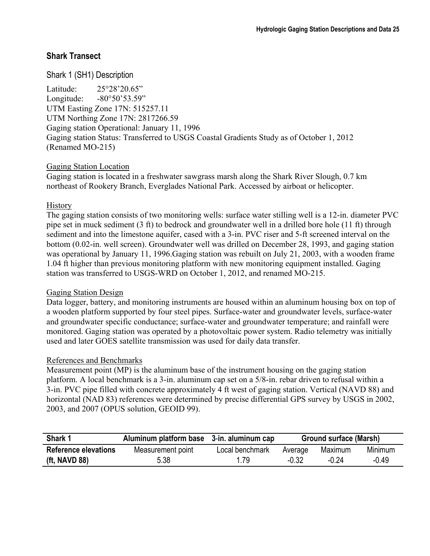## **Shark Transect**

## Shark 1 (SH1) Description

Latitude: 25°28'20.65" Longitude: -80°50'53.59" UTM Easting Zone 17N: 515257.11 UTM Northing Zone 17N: 2817266.59 Gaging station Operational: January 11, 1996 Gaging station Status: Transferred to USGS Coastal Gradients Study as of October 1, 2012 (Renamed MO-215)

#### Gaging Station Location

Gaging station is located in a freshwater sawgrass marsh along the Shark River Slough, 0.7 km northeast of Rookery Branch, Everglades National Park. Accessed by airboat or helicopter.

#### **History**

The gaging station consists of two monitoring wells: surface water stilling well is a 12-in. diameter PVC pipe set in muck sediment (3 ft) to bedrock and groundwater well in a drilled bore hole (11 ft) through sediment and into the limestone aquifer, cased with a 3-in. PVC riser and 5-ft screened interval on the bottom (0.02-in. well screen). Groundwater well was drilled on December 28, 1993, and gaging station was operational by January 11, 1996.Gaging station was rebuilt on July 21, 2003, with a wooden frame 1.04 ft higher than previous monitoring platform with new monitoring equipment installed. Gaging station was transferred to USGS-WRD on October 1, 2012, and renamed MO-215.

#### Gaging Station Design

Data logger, battery, and monitoring instruments are housed within an aluminum housing box on top of a wooden platform supported by four steel pipes. Surface-water and groundwater levels, surface-water and groundwater specific conductance; surface-water and groundwater temperature; and rainfall were monitored. Gaging station was operated by a photovoltaic power system. Radio telemetry was initially used and later GOES satellite transmission was used for daily data transfer.

#### References and Benchmarks

Measurement point (MP) is the aluminum base of the instrument housing on the gaging station platform. A local benchmark is a 3-in. aluminum cap set on a 5/8-in. rebar driven to refusal within a 3-in. PVC pipe filled with concrete approximately 4 ft west of gaging station. Vertical (NAVD 88) and horizontal (NAD 83) references were determined by precise differential GPS survey by USGS in 2002, 2003, and 2007 (OPUS solution, GEOID 99).

| Shark 1                     | Aluminum platform base 3-in. aluminum cap |                 | Ground surface (Marsh)        |       |         |
|-----------------------------|-------------------------------------------|-----------------|-------------------------------|-------|---------|
| <b>Reference elevations</b> | Measurement point                         | Local benchmark | Minimum<br>Maximum<br>Average |       |         |
| (ft, NAVD 88)               | 5.38                                      | 1.79            | $-0.32$                       | -0 24 | $-0.49$ |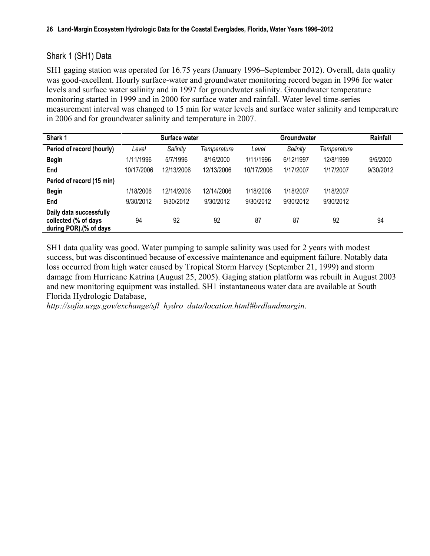## Shark 1 (SH1) Data

SH1 gaging station was operated for 16.75 years (January 1996–September 2012). Overall, data quality was good-excellent. Hourly surface-water and groundwater monitoring record began in 1996 for water levels and surface water salinity and in 1997 for groundwater salinity. Groundwater temperature monitoring started in 1999 and in 2000 for surface water and rainfall. Water level time-series measurement interval was changed to 15 min for water levels and surface water salinity and temperature in 2006 and for groundwater salinity and temperature in 2007.

| Shark 1                                                                   |            | Surface water |             |            | Groundwater |             | Rainfall  |
|---------------------------------------------------------------------------|------------|---------------|-------------|------------|-------------|-------------|-----------|
| Period of record (hourly)                                                 | Level      | Salinity      | Temperature | Level      | Salinity    | Temperature |           |
| <b>Begin</b>                                                              | 1/11/1996  | 5/7/1996      | 8/16/2000   | 1/11/1996  | 6/12/1997   | 12/8/1999   | 9/5/2000  |
| End                                                                       | 10/17/2006 | 12/13/2006    | 12/13/2006  | 10/17/2006 | 1/17/2007   | 1/17/2007   | 9/30/2012 |
| Period of record (15 min)                                                 |            |               |             |            |             |             |           |
| <b>Begin</b>                                                              | 1/18/2006  | 12/14/2006    | 12/14/2006  | 1/18/2006  | 1/18/2007   | 1/18/2007   |           |
| End                                                                       | 9/30/2012  | 9/30/2012     | 9/30/2012   | 9/30/2012  | 9/30/2012   | 9/30/2012   |           |
| Daily data successfully<br>collected (% of days<br>during POR).(% of days | 94         | 92            | 92          | 87         | 87          | 92          | 94        |

SH1 data quality was good. Water pumping to sample salinity was used for 2 years with modest success, but was discontinued because of excessive maintenance and equipment failure. Notably data loss occurred from high water caused by Tropical Storm Harvey (September 21, 1999) and storm damage from Hurricane Katrina (August 25, 2005). Gaging station platform was rebuilt in August 2003 and new monitoring equipment was installed. SH1 instantaneous water data are available at South Florida Hydrologic Database,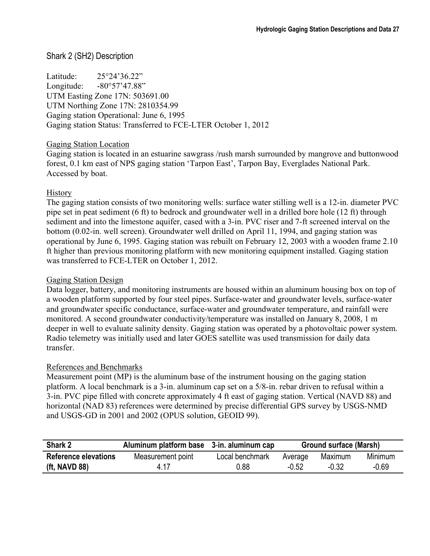## Shark 2 (SH2) Description

Latitude: 25°24'36.22" Longitude: -80°57'47.88" UTM Easting Zone 17N: 503691.00 UTM Northing Zone 17N: 2810354.99 Gaging station Operational: June 6, 1995 Gaging station Status: Transferred to FCE-LTER October 1, 2012

#### Gaging Station Location

Gaging station is located in an estuarine sawgrass /rush marsh surrounded by mangrove and buttonwood forest, 0.1 km east of NPS gaging station 'Tarpon East', Tarpon Bay, Everglades National Park. Accessed by boat.

#### History

The gaging station consists of two monitoring wells: surface water stilling well is a 12-in. diameter PVC pipe set in peat sediment (6 ft) to bedrock and groundwater well in a drilled bore hole (12 ft) through sediment and into the limestone aquifer, cased with a 3-in. PVC riser and 7-ft screened interval on the bottom (0.02-in. well screen). Groundwater well drilled on April 11, 1994, and gaging station was operational by June 6, 1995. Gaging station was rebuilt on February 12, 2003 with a wooden frame 2.10 ft higher than previous monitoring platform with new monitoring equipment installed. Gaging station was transferred to FCE-LTER on October 1, 2012.

#### Gaging Station Design

Data logger, battery, and monitoring instruments are housed within an aluminum housing box on top of a wooden platform supported by four steel pipes. Surface-water and groundwater levels, surface-water and groundwater specific conductance, surface-water and groundwater temperature, and rainfall were monitored. A second groundwater conductivity/temperature was installed on January 8, 2008, 1 m deeper in well to evaluate salinity density. Gaging station was operated by a photovoltaic power system. Radio telemetry was initially used and later GOES satellite was used transmission for daily data transfer.

#### References and Benchmarks

Measurement point (MP) is the aluminum base of the instrument housing on the gaging station platform. A local benchmark is a 3-in. aluminum cap set on a 5/8-in. rebar driven to refusal within a 3-in. PVC pipe filled with concrete approximately 4 ft east of gaging station. Vertical (NAVD 88) and horizontal (NAD 83) references were determined by precise differential GPS survey by USGS-NMD and USGS-GD in 2001 and 2002 (OPUS solution, GEOID 99).

| Shark 2                     | Aluminum platform base 3-in. aluminum cap |                 | <b>Ground surface (Marsh)</b> |         |         |
|-----------------------------|-------------------------------------------|-----------------|-------------------------------|---------|---------|
| <b>Reference elevations</b> | Measurement point                         | Local benchmark | Average                       | Minimum |         |
| (ft, NAVD 88)               | 4 17                                      | 0.88            | $-0.52$                       | $-0.32$ | $-0.69$ |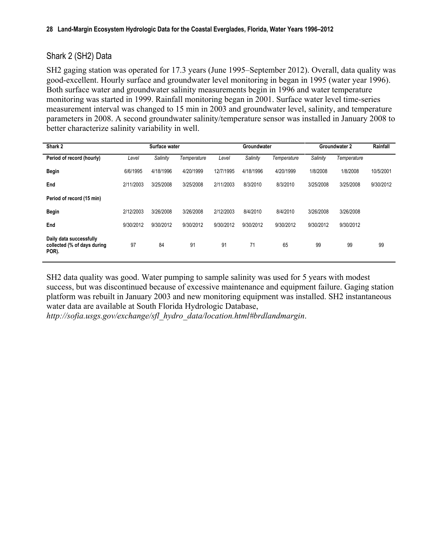## Shark 2 (SH2) Data

SH2 gaging station was operated for 17.3 years (June 1995–September 2012). Overall, data quality was good-excellent. Hourly surface and groundwater level monitoring in began in 1995 (water year 1996). Both surface water and groundwater salinity measurements begin in 1996 and water temperature monitoring was started in 1999. Rainfall monitoring began in 2001. Surface water level time-series measurement interval was changed to 15 min in 2003 and groundwater level, salinity, and temperature parameters in 2008. A second groundwater salinity/temperature sensor was installed in January 2008 to better characterize salinity variability in well.

| Shark 2                                                         |           | Surface water |             |           | Groundwater |             |           | <b>Groundwater 2</b> | Rainfall  |
|-----------------------------------------------------------------|-----------|---------------|-------------|-----------|-------------|-------------|-----------|----------------------|-----------|
| Period of record (hourly)                                       | Level     | Salinity      | Temperature | Level     | Salinity    | Temperature | Salinity  | Temperature          |           |
| <b>Begin</b>                                                    | 6/6/1995  | 4/18/1996     | 4/20/1999   | 12/7/1995 | 4/18/1996   | 4/20/1999   | 1/8/2008  | 1/8/2008             | 10/5/2001 |
| End                                                             | 2/11/2003 | 3/25/2008     | 3/25/2008   | 2/11/2003 | 8/3/2010    | 8/3/2010    | 3/25/2008 | 3/25/2008            | 9/30/2012 |
| Period of record (15 min)                                       |           |               |             |           |             |             |           |                      |           |
| <b>Begin</b>                                                    | 2/12/2003 | 3/26/2008     | 3/26/2008   | 2/12/2003 | 8/4/2010    | 8/4/2010    | 3/26/2008 | 3/26/2008            |           |
| End                                                             | 9/30/2012 | 9/30/2012     | 9/30/2012   | 9/30/2012 | 9/30/2012   | 9/30/2012   | 9/30/2012 | 9/30/2012            |           |
| Daily data successfully<br>collected (% of days during<br>POR). | 97        | 84            | 91          | 91        | 71          | 65          | 99        | 99                   | 99        |

SH2 data quality was good. Water pumping to sample salinity was used for 5 years with modest success, but was discontinued because of excessive maintenance and equipment failure. Gaging station platform was rebuilt in January 2003 and new monitoring equipment was installed. SH2 instantaneous water data are available at South Florida Hydrologic Database,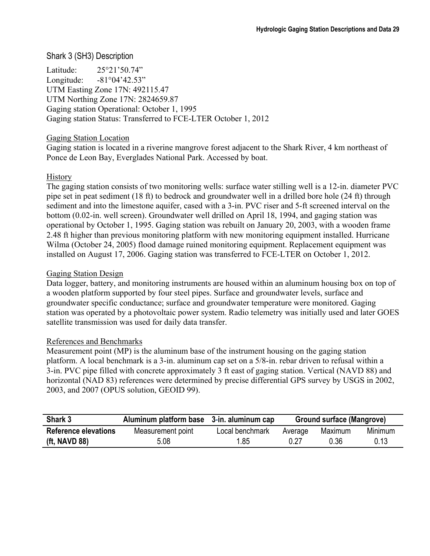## Shark 3 (SH3) Description

Latitude: 25°21'50.74" Longitude: -81°04'42.53" UTM Easting Zone 17N: 492115.47 UTM Northing Zone 17N: 2824659.87 Gaging station Operational: October 1, 1995 Gaging station Status: Transferred to FCE-LTER October 1, 2012

#### Gaging Station Location

Gaging station is located in a riverine mangrove forest adjacent to the Shark River, 4 km northeast of Ponce de Leon Bay, Everglades National Park. Accessed by boat.

#### **History**

The gaging station consists of two monitoring wells: surface water stilling well is a 12-in. diameter PVC pipe set in peat sediment (18 ft) to bedrock and groundwater well in a drilled bore hole (24 ft) through sediment and into the limestone aquifer, cased with a 3-in. PVC riser and 5-ft screened interval on the bottom (0.02-in. well screen). Groundwater well drilled on April 18, 1994, and gaging station was operational by October 1, 1995. Gaging station was rebuilt on January 20, 2003, with a wooden frame 2.48 ft higher than previous monitoring platform with new monitoring equipment installed. Hurricane Wilma (October 24, 2005) flood damage ruined monitoring equipment. Replacement equipment was installed on August 17, 2006. Gaging station was transferred to FCE-LTER on October 1, 2012.

#### Gaging Station Design

Data logger, battery, and monitoring instruments are housed within an aluminum housing box on top of a wooden platform supported by four steel pipes. Surface and groundwater levels, surface and groundwater specific conductance; surface and groundwater temperature were monitored. Gaging station was operated by a photovoltaic power system. Radio telemetry was initially used and later GOES satellite transmission was used for daily data transfer.

#### References and Benchmarks

Measurement point (MP) is the aluminum base of the instrument housing on the gaging station platform. A local benchmark is a 3-in. aluminum cap set on a 5/8-in. rebar driven to refusal within a 3-in. PVC pipe filled with concrete approximately 3 ft east of gaging station. Vertical (NAVD 88) and horizontal (NAD 83) references were determined by precise differential GPS survey by USGS in 2002, 2003, and 2007 (OPUS solution, GEOID 99).

| Shark 3                     | Aluminum platform base 3-in. aluminum cap |                 | <b>Ground surface (Mangrove)</b> |         |                |
|-----------------------------|-------------------------------------------|-----------------|----------------------------------|---------|----------------|
| <b>Reference elevations</b> | Measurement point                         | Local benchmark | Average                          | Maximum | <b>Minimum</b> |
| (ft, NAVD 88)               | 5.08                                      | .85             | 0.27                             | 0.36    | 0.13           |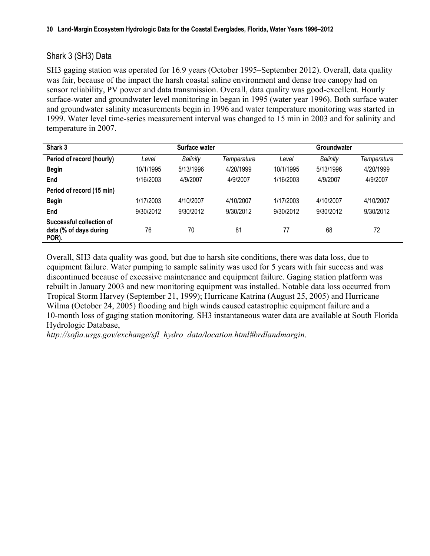## Shark 3 (SH3) Data

SH3 gaging station was operated for 16.9 years (October 1995–September 2012). Overall, data quality was fair, because of the impact the harsh coastal saline environment and dense tree canopy had on sensor reliability, PV power and data transmission. Overall, data quality was good-excellent. Hourly surface-water and groundwater level monitoring in began in 1995 (water year 1996). Both surface water and groundwater salinity measurements begin in 1996 and water temperature monitoring was started in 1999. Water level time-series measurement interval was changed to 15 min in 2003 and for salinity and temperature in 2007.

| Shark 3                                                     |           | Surface water |             |           | <b>Groundwater</b> |             |
|-------------------------------------------------------------|-----------|---------------|-------------|-----------|--------------------|-------------|
| Period of record (hourly)                                   | Level     | Salinity      | Temperature | Level     | Salinity           | Temperature |
| <b>Begin</b>                                                | 10/1/1995 | 5/13/1996     | 4/20/1999   | 10/1/1995 | 5/13/1996          | 4/20/1999   |
| End                                                         | 1/16/2003 | 4/9/2007      | 4/9/2007    | 1/16/2003 | 4/9/2007           | 4/9/2007    |
| Period of record (15 min)                                   |           |               |             |           |                    |             |
| <b>Begin</b>                                                | 1/17/2003 | 4/10/2007     | 4/10/2007   | 1/17/2003 | 4/10/2007          | 4/10/2007   |
| End                                                         | 9/30/2012 | 9/30/2012     | 9/30/2012   | 9/30/2012 | 9/30/2012          | 9/30/2012   |
| Successful collection of<br>data (% of days during<br>POR). | 76        | 70            | 81          | 77        | 68                 | 72          |

Overall, SH3 data quality was good, but due to harsh site conditions, there was data loss, due to equipment failure. Water pumping to sample salinity was used for 5 years with fair success and was discontinued because of excessive maintenance and equipment failure. Gaging station platform was rebuilt in January 2003 and new monitoring equipment was installed. Notable data loss occurred from Tropical Storm Harvey (September 21, 1999); Hurricane Katrina (August 25, 2005) and Hurricane Wilma (October 24, 2005) flooding and high winds caused catastrophic equipment failure and a 10-month loss of gaging station monitoring. SH3 instantaneous water data are available at South Florida Hydrologic Database,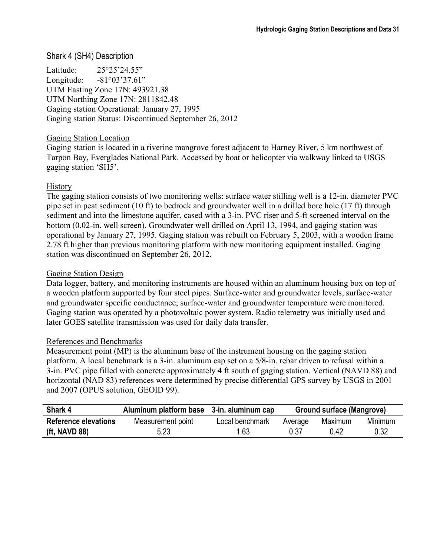#### Shark 4 (SH4) Description

Latitude: 25°25'24.55" Longitude: -81°03'37.61" UTM Easting Zone 17N: 493921.38 UTM Northing Zone 17N: 2811842.48 Gaging station Operational: January 27, 1995 Gaging station Status: Discontinued September 26, 2012

#### Gaging Station Location

Gaging station is located in a riverine mangrove forest adjacent to Harney River, 5 km northwest of Tarpon Bay, Everglades National Park. Accessed by boat or helicopter via walkway linked to USGS gaging station 'SH5'.

#### **History**

The gaging station consists of two monitoring wells: surface water stilling well is a 12-in. diameter PVC pipe set in peat sediment (10 ft) to bedrock and groundwater well in a drilled bore hole (17 ft) through sediment and into the limestone aquifer, cased with a 3-in. PVC riser and 5-ft screened interval on the bottom (0.02-in. well screen). Groundwater well drilled on April 13, 1994, and gaging station was operational by January 27, 1995. Gaging station was rebuilt on February 5, 2003, with a wooden frame 2.78 ft higher than previous monitoring platform with new monitoring equipment installed. Gaging station was discontinued on September 26, 2012.

#### Gaging Station Design

Data logger, battery, and monitoring instruments are housed within an aluminum housing box on top of a wooden platform supported by four steel pipes. Surface-water and groundwater levels, surface-water and groundwater specific conductance; surface-water and groundwater temperature were monitored. Gaging station was operated by a photovoltaic power system. Radio telemetry was initially used and later GOES satellite transmission was used for daily data transfer.

#### References and Benchmarks

Measurement point (MP) is the aluminum base of the instrument housing on the gaging station platform. A local benchmark is a 3-in. aluminum cap set on a 5/8-in. rebar driven to refusal within a 3-in. PVC pipe filled with concrete approximately 4 ft south of gaging station. Vertical (NAVD 88) and horizontal (NAD 83) references were determined by precise differential GPS survey by USGS in 2001 and 2007 (OPUS solution, GEOID 99).

| Shark 4                     | Aluminum platform base 3-in. aluminum cap |                 | Ground surface (Mangrove) |         |         |
|-----------------------------|-------------------------------------------|-----------------|---------------------------|---------|---------|
| <b>Reference elevations</b> | Measurement point                         | Local benchmark | Average                   | Maximum | Minimum |
| (ft, NAVD 88)               | 5.23                                      | 1.63            | 0.37                      | 0.42    | 0.32    |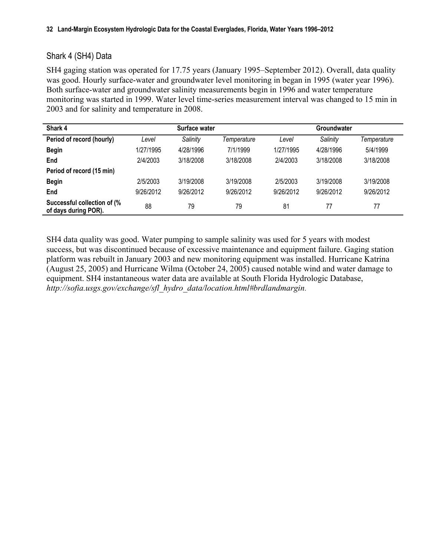## Shark 4 (SH4) Data

SH4 gaging station was operated for 17.75 years (January 1995–September 2012). Overall, data quality was good. Hourly surface-water and groundwater level monitoring in began in 1995 (water year 1996). Both surface-water and groundwater salinity measurements begin in 1996 and water temperature monitoring was started in 1999. Water level time-series measurement interval was changed to 15 min in 2003 and for salinity and temperature in 2008.

| Shark 4                                             |           | Surface water |             |           | <b>Groundwater</b> |             |
|-----------------------------------------------------|-----------|---------------|-------------|-----------|--------------------|-------------|
| Period of record (hourly)                           | Level     | Salinity      | Temperature | Level     | Salinity           | Temperature |
| <b>Begin</b>                                        | 1/27/1995 | 4/28/1996     | 7/1/1999    | 1/27/1995 | 4/28/1996          | 5/4/1999    |
| End                                                 | 2/4/2003  | 3/18/2008     | 3/18/2008   | 2/4/2003  | 3/18/2008          | 3/18/2008   |
| Period of record (15 min)                           |           |               |             |           |                    |             |
| <b>Begin</b>                                        | 2/5/2003  | 3/19/2008     | 3/19/2008   | 2/5/2003  | 3/19/2008          | 3/19/2008   |
| End                                                 | 9/26/2012 | 9/26/2012     | 9/26/2012   | 9/26/2012 | 9/26/2012          | 9/26/2012   |
| Successful collection of (%<br>of days during POR). | 88        | 79            | 79          | 81        | 77                 | 77          |

SH4 data quality was good. Water pumping to sample salinity was used for 5 years with modest success, but was discontinued because of excessive maintenance and equipment failure. Gaging station platform was rebuilt in January 2003 and new monitoring equipment was installed. Hurricane Katrina (August 25, 2005) and Hurricane Wilma (October 24, 2005) caused notable wind and water damage to equipment. SH4 instantaneous water data are available at South Florida Hydrologic Database, *[http://sofia.usgs.gov/exchange/sfl\\_hydro\\_data/location.html#brdlandmargin](http://sofia.usgs.gov/exchange/zucker_woods_patino/index.php)*.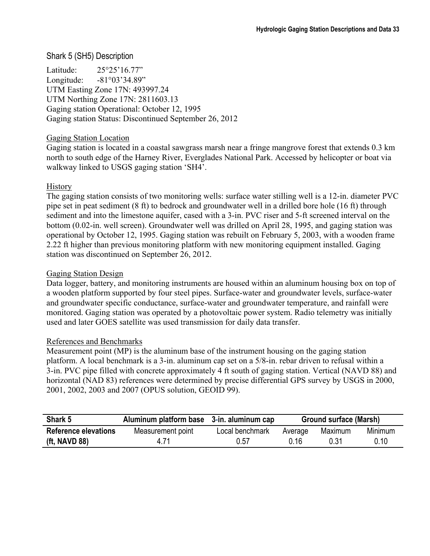## Shark 5 (SH5) Description

Latitude: 25°25'16.77" Longitude: -81°03'34.89" UTM Easting Zone 17N: 493997.24 UTM Northing Zone 17N: 2811603.13 Gaging station Operational: October 12, 1995 Gaging station Status: Discontinued September 26, 2012

#### Gaging Station Location

Gaging station is located in a coastal sawgrass marsh near a fringe mangrove forest that extends 0.3 km north to south edge of the Harney River, Everglades National Park. Accessed by helicopter or boat via walkway linked to USGS gaging station 'SH4'.

#### **History**

The gaging station consists of two monitoring wells: surface water stilling well is a 12-in. diameter PVC pipe set in peat sediment (8 ft) to bedrock and groundwater well in a drilled bore hole (16 ft) through sediment and into the limestone aquifer, cased with a 3-in. PVC riser and 5-ft screened interval on the bottom (0.02-in. well screen). Groundwater well was drilled on April 28, 1995, and gaging station was operational by October 12, 1995. Gaging station was rebuilt on February 5, 2003, with a wooden frame 2.22 ft higher than previous monitoring platform with new monitoring equipment installed. Gaging station was discontinued on September 26, 2012.

#### Gaging Station Design

Data logger, battery, and monitoring instruments are housed within an aluminum housing box on top of a wooden platform supported by four steel pipes. Surface-water and groundwater levels, surface-water and groundwater specific conductance, surface-water and groundwater temperature, and rainfall were monitored. Gaging station was operated by a photovoltaic power system. Radio telemetry was initially used and later GOES satellite was used transmission for daily data transfer.

#### References and Benchmarks

Measurement point (MP) is the aluminum base of the instrument housing on the gaging station platform. A local benchmark is a 3-in. aluminum cap set on a 5/8-in. rebar driven to refusal within a 3-in. PVC pipe filled with concrete approximately 4 ft south of gaging station. Vertical (NAVD 88) and horizontal (NAD 83) references were determined by precise differential GPS survey by USGS in 2000, 2001, 2002, 2003 and 2007 (OPUS solution, GEOID 99).

| Shark 5                     | Aluminum platform base 3-in. aluminum cap |                 | Ground surface (Marsh) |         |                |
|-----------------------------|-------------------------------------------|-----------------|------------------------|---------|----------------|
| <b>Reference elevations</b> | Measurement point                         | Local benchmark | Average                | Maximum | <b>Minimum</b> |
| (ft, NAVD 88)               | 4 7 1                                     | 0.57            | ი 16                   | Ი 31    | 0.10           |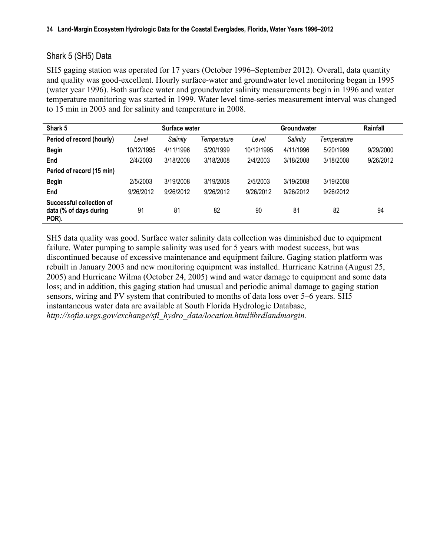### Shark 5 (SH5) Data

SH5 gaging station was operated for 17 years (October 1996–September 2012). Overall, data quantity and quality was good-excellent. Hourly surface-water and groundwater level monitoring began in 1995 (water year 1996). Both surface water and groundwater salinity measurements begin in 1996 and water temperature monitoring was started in 1999. Water level time-series measurement interval was changed to 15 min in 2003 and for salinity and temperature in 2008.

| Shark 5                                                     |            | Surface water |             |            | Groundwater |             | Rainfall  |
|-------------------------------------------------------------|------------|---------------|-------------|------------|-------------|-------------|-----------|
| Period of record (hourly)                                   | Level      | Salinity      | Temperature | Level      | Salinity    | Temperature |           |
| <b>Begin</b>                                                | 10/12/1995 | 4/11/1996     | 5/20/1999   | 10/12/1995 | 4/11/1996   | 5/20/1999   | 9/29/2000 |
| End                                                         | 2/4/2003   | 3/18/2008     | 3/18/2008   | 2/4/2003   | 3/18/2008   | 3/18/2008   | 9/26/2012 |
| Period of record (15 min)                                   |            |               |             |            |             |             |           |
| <b>Begin</b>                                                | 2/5/2003   | 3/19/2008     | 3/19/2008   | 2/5/2003   | 3/19/2008   | 3/19/2008   |           |
| End                                                         | 9/26/2012  | 9/26/2012     | 9/26/2012   | 9/26/2012  | 9/26/2012   | 9/26/2012   |           |
| Successful collection of<br>data (% of days during<br>POR). | 91         | 81            | 82          | 90         | 81          | 82          | 94        |

SH5 data quality was good. Surface water salinity data collection was diminished due to equipment failure. Water pumping to sample salinity was used for 5 years with modest success, but was discontinued because of excessive maintenance and equipment failure. Gaging station platform was rebuilt in January 2003 and new monitoring equipment was installed. Hurricane Katrina (August 25, 2005) and Hurricane Wilma (October 24, 2005) wind and water damage to equipment and some data loss; and in addition, this gaging station had unusual and periodic animal damage to gaging station sensors, wiring and PV system that contributed to months of data loss over 5–6 years. SH5 instantaneous water data are available at South Florida Hydrologic Database, *[http://sofia.usgs.gov/exchange/sfl\\_hydro\\_data/location.html#brdlandmargin.](http://sofia.usgs.gov/exchange/sfl_hydro_data/location.html#brdlandmargin.

)*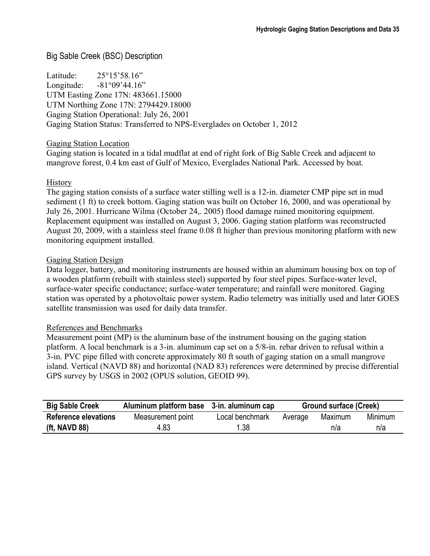## Big Sable Creek (BSC) Description

Latitude: 25°15'58.16" Longitude: -81°09'44.16" UTM Easting Zone 17N: 483661.15000 UTM Northing Zone 17N: 2794429.18000 Gaging Station Operational: July 26, 2001 Gaging Station Status: Transferred to NPS-Everglades on October 1, 2012

### Gaging Station Location

Gaging station is located in a tidal mudflat at end of right fork of Big Sable Creek and adjacent to mangrove forest, 0.4 km east of Gulf of Mexico, Everglades National Park. Accessed by boat.

## **History**

The gaging station consists of a surface water stilling well is a 12-in. diameter CMP pipe set in mud sediment (1 ft) to creek bottom. Gaging station was built on October 16, 2000, and was operational by July 26, 2001. Hurricane Wilma (October 24,. 2005) flood damage ruined monitoring equipment. Replacement equipment was installed on August 3, 2006. Gaging station platform was reconstructed August 20, 2009, with a stainless steel frame 0.08 ft higher than previous monitoring platform with new monitoring equipment installed.

#### Gaging Station Design

Data logger, battery, and monitoring instruments are housed within an aluminum housing box on top of a wooden platform (rebuilt with stainless steel) supported by four steel pipes. Surface-water level, surface-water specific conductance; surface-water temperature; and rainfall were monitored. Gaging station was operated by a photovoltaic power system. Radio telemetry was initially used and later GOES satellite transmission was used for daily data transfer.

#### References and Benchmarks

Measurement point (MP) is the aluminum base of the instrument housing on the gaging station platform. A local benchmark is a 3-in. aluminum cap set on a 5/8-in. rebar driven to refusal within a 3-in. PVC pipe filled with concrete approximately 80 ft south of gaging station on a small mangrove island. Vertical (NAVD 88) and horizontal (NAD 83) references were determined by precise differential GPS survey by USGS in 2002 (OPUS solution, GEOID 99).

| <b>Big Sable Creek</b>      | Aluminum platform base 3-in. aluminum cap |                 | <b>Ground surface (Creek)</b> |         |         |
|-----------------------------|-------------------------------------------|-----------------|-------------------------------|---------|---------|
| <b>Reference elevations</b> | Measurement point                         | Local benchmark | Average                       | Maximum | Minimum |
| (ft, NAVD 88)               | 4.83                                      | 1.38            |                               | n/a     | n/a     |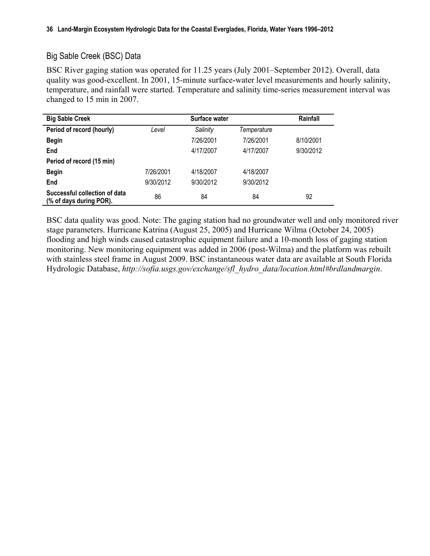## Big Sable Creek (BSC) Data

BSC River gaging station was operated for 11.25 years (July 2001–September 2012). Overall, data quality was good-excellent. In 2001, 15-minute surface-water level measurements and hourly salinity, temperature, and rainfall were started. Temperature and salinity time-series measurement interval was changed to 15 min in 2007.

| <b>Big Sable Creek</b>                                   |           | Surface water |             | Rainfall  |
|----------------------------------------------------------|-----------|---------------|-------------|-----------|
| Period of record (hourly)                                | Level     | Salinity      | Temperature |           |
| <b>Begin</b>                                             |           | 7/26/2001     | 7/26/2001   | 8/10/2001 |
| End                                                      |           | 4/17/2007     | 4/17/2007   | 9/30/2012 |
| Period of record (15 min)                                |           |               |             |           |
| <b>Begin</b>                                             | 7/26/2001 | 4/18/2007     | 4/18/2007   |           |
| End                                                      | 9/30/2012 | 9/30/2012     | 9/30/2012   |           |
| Successful collection of data<br>(% of days during POR). | 86        | 84            | 84          | 92        |

BSC data quality was good. Note: The gaging station had no groundwater well and only monitored river stage parameters. Hurricane Katrina (August 25, 2005) and Hurricane Wilma (October 24, 2005) flooding and high winds caused catastrophic equipment failure and a 10-month loss of gaging station monitoring. New monitoring equipment was added in 2006 (post-Wilma) and the platform was rebuilt with stainless steel frame in August 2009. BSC instantaneous water data are available at South Florida Hydrologic Database, *[http://sofia.usgs.gov/exchange/sfl\\_hydro\\_data/location.html#brdlandmargin](http://sofia.usgs.gov/exchange/sfl_hydro_data/location.html#brdlandmargin.
)*.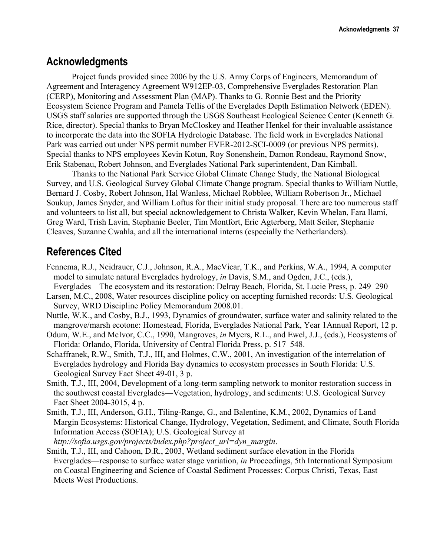## **Acknowledgments**

Project funds provided since 2006 by the U.S. Army Corps of Engineers, Memorandum of Agreement and Interagency Agreement W912EP-03, Comprehensive Everglades Restoration Plan (CERP), Monitoring and Assessment Plan (MAP). Thanks to G. Ronnie Best and the Priority Ecosystem Science Program and Pamela Tellis of the Everglades Depth Estimation Network (EDEN). USGS staff salaries are supported through the USGS Southeast Ecological Science Center (Kenneth G. Rice, director). Special thanks to Bryan McCloskey and Heather Henkel for their invaluable assistance to incorporate the data into the SOFIA Hydrologic Database. The field work in Everglades National Park was carried out under NPS permit number EVER-2012-SCI-0009 (or previous NPS permits). Special thanks to NPS employees Kevin Kotun, Roy Sonenshein, Damon Rondeau, Raymond Snow, Erik Stabenau, Robert Johnson, and Everglades National Park superintendent, Dan Kimball.

Thanks to the National Park Service Global Climate Change Study, the National Biological Survey, and U.S. Geological Survey Global Climate Change program. Special thanks to William Nuttle, Bernard J. Cosby, Robert Johnson, Hal Wanless, Michael Robblee, William Robertson Jr., Michael Soukup, James Snyder, and William Loftus for their initial study proposal. There are too numerous staff and volunteers to list all, but special acknowledgement to Christa Walker, Kevin Whelan, Fara Ilami, Greg Ward, Trish Lavin, Stephanie Beeler, Tim Montfort, Eric Agterberg, Matt Seiler, Stephanie Cleaves, Suzanne Cwahla, and all the international interns (especially the Netherlanders).

## **References Cited**

- Fennema, R.J., Neidrauer, C.J., Johnson, R.A., MacVicar, T.K., and Perkins, W.A., 1994, A computer model to simulate natural Everglades hydrology, *in* Davis, S.M., and Ogden, J.C., (eds.),
- Everglades—The ecosystem and its restoration: Delray Beach, Florida, St. Lucie Press, p. 249–290 Larsen, M.C., 2008, Water resources discipline policy on accepting furnished records: U.S. Geological Survey, WRD Discipline Policy Memorandum 2008.01.
- Nuttle, W.K., and Cosby, B.J., 1993, Dynamics of groundwater, surface water and salinity related to the mangrove/marsh ecotone: Homestead, Florida, Everglades National Park, Year 1Annual Report, 12 p.
- Odum, W.E., and McIvor, C.C., 1990, Mangroves, *in* Myers, R.L., and Ewel, J.J., (eds.), Ecosystems of Florida: Orlando, Florida, University of Central Florida Press, p. 517–548.
- Schaffranek, R.W., Smith, T.J., III, and Holmes, C.W., 2001, An investigation of the interrelation of Everglades hydrology and Florida Bay dynamics to ecosystem processes in South Florida: U.S. Geological Survey Fact Sheet 49-01, 3 p.
- Smith, T.J., III, 2004, Development of a long-term sampling network to monitor restoration success in the southwest coastal Everglades—Vegetation, hydrology, and sediments: U.S. Geological Survey Fact Sheet 2004-3015, 4 p.
- Smith, T.J., III, Anderson, G.H., Tiling-Range, G., and Balentine, K.M., 2002, Dynamics of Land Margin Ecosystems: Historical Change, Hydrology, Vegetation, Sediment, and Climate, South Florida Information Access (SOFIA); U.S. Geological Survey at

*[http://sofia.usgs.gov/projects/index.php?project\\_url=dyn\\_margin](http://sofia.usgs.gov/projects/index.php?project_url=dyn_margin)*.

Smith, T.J., III, and Cahoon, D.R., 2003, Wetland sediment surface elevation in the Florida Everglades—response to surface water stage variation, *in* Proceedings, 5th International Symposium on Coastal Engineering and Science of Coastal Sediment Processes: Corpus Christi, Texas, East Meets West Productions.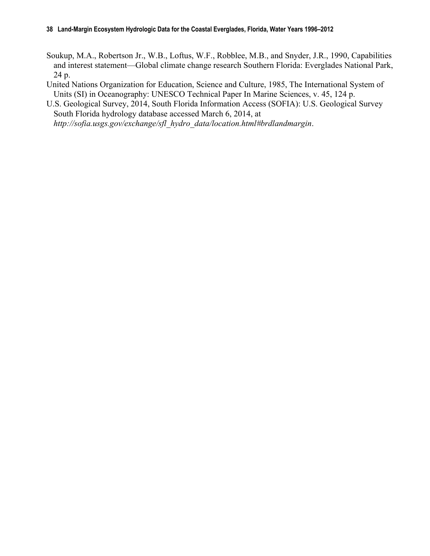- Soukup, M.A., Robertson Jr., W.B., Loftus, W.F., Robblee, M.B., and Snyder, J.R., 1990, Capabilities and interest statement—Global climate change research Southern Florida: Everglades National Park, 24 p.
- United Nations Organization for Education, Science and Culture, 1985, The International System of Units (SI) in Oceanography: UNESCO Technical Paper In Marine Sciences, v. 45, 124 p.
- U.S. Geological Survey, 2014, South Florida Information Access (SOFIA): U.S. Geological Survey South Florida hydrology database accessed March 6, 2014, at